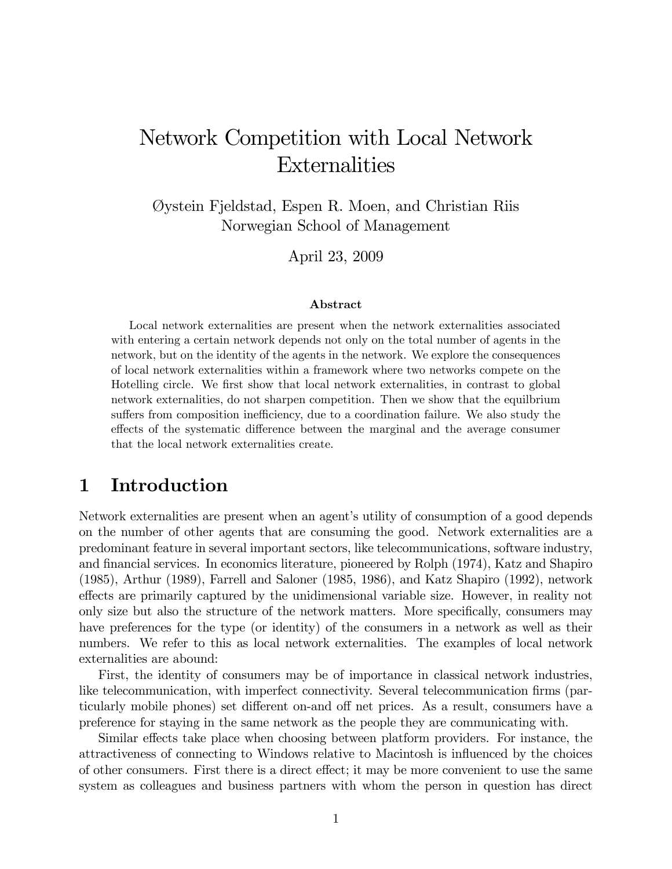# Network Competition with Local Network Externalities

Øystein Fjeldstad, Espen R. Moen, and Christian Riis Norwegian School of Management

April 23, 2009

#### Abstract

Local network externalities are present when the network externalities associated with entering a certain network depends not only on the total number of agents in the network, but on the identity of the agents in the network. We explore the consequences of local network externalities within a framework where two networks compete on the Hotelling circle. We first show that local network externalities, in contrast to global network externalities, do not sharpen competition. Then we show that the equilbrium suffers from composition inefficiency, due to a coordination failure. We also study the effects of the systematic difference between the marginal and the average consumer that the local network externalities create.

# 1 Introduction

Network externalities are present when an agent's utility of consumption of a good depends on the number of other agents that are consuming the good. Network externalities are a predominant feature in several important sectors, like telecommunications, software industry, and financial services. In economics literature, pioneered by Rolph (1974), Katz and Shapiro (1985), Arthur (1989), Farrell and Saloner (1985, 1986), and Katz Shapiro (1992), network effects are primarily captured by the unidimensional variable size. However, in reality not only size but also the structure of the network matters. More specifically, consumers may have preferences for the type (or identity) of the consumers in a network as well as their numbers. We refer to this as local network externalities. The examples of local network externalities are abound:

First, the identity of consumers may be of importance in classical network industries, like telecommunication, with imperfect connectivity. Several telecommunication firms (particularly mobile phones) set different on-and off net prices. As a result, consumers have a preference for staying in the same network as the people they are communicating with.

Similar effects take place when choosing between platform providers. For instance, the attractiveness of connecting to Windows relative to Macintosh is ináuenced by the choices of other consumers. First there is a direct effect; it may be more convenient to use the same system as colleagues and business partners with whom the person in question has direct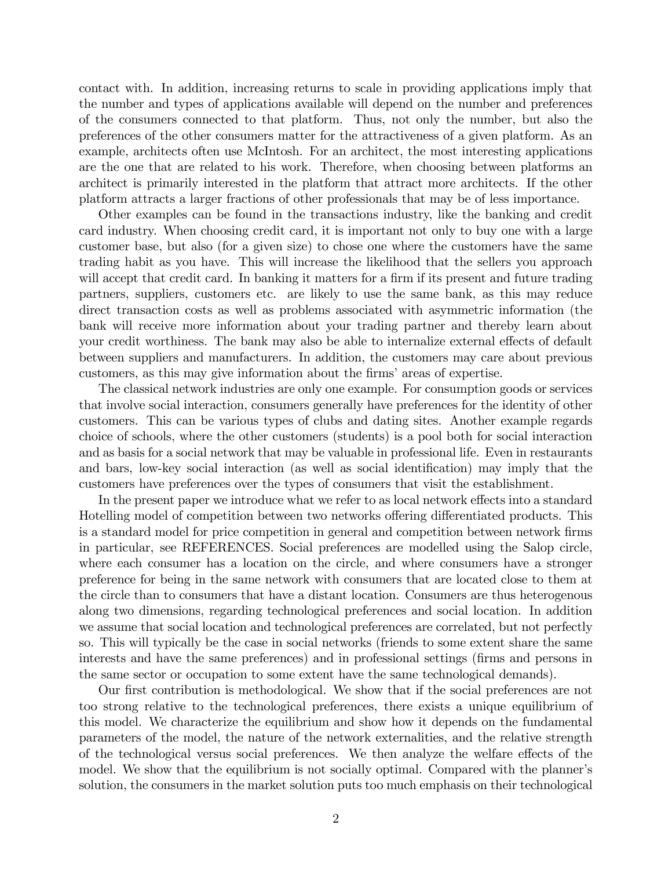contact with. In addition, increasing returns to scale in providing applications imply that the number and types of applications available will depend on the number and preferences of the consumers connected to that platform. Thus, not only the number, but also the preferences of the other consumers matter for the attractiveness of a given platform. As an example, architects often use McIntosh. For an architect, the most interesting applications are the one that are related to his work. Therefore, when choosing between platforms an architect is primarily interested in the platform that attract more architects. If the other platform attracts a larger fractions of other professionals that may be of less importance.

Other examples can be found in the transactions industry, like the banking and credit card industry. When choosing credit card, it is important not only to buy one with a large customer base, but also (for a given size) to chose one where the customers have the same trading habit as you have. This will increase the likelihood that the sellers you approach will accept that credit card. In banking it matters for a firm if its present and future trading partners, suppliers, customers etc. are likely to use the same bank, as this may reduce direct transaction costs as well as problems associated with asymmetric information (the bank will receive more information about your trading partner and thereby learn about your credit worthiness. The bank may also be able to internalize external effects of default between suppliers and manufacturers. In addition, the customers may care about previous customers, as this may give information about the firms' areas of expertise.

The classical network industries are only one example. For consumption goods or services that involve social interaction, consumers generally have preferences for the identity of other customers. This can be various types of clubs and dating sites. Another example regards choice of schools, where the other customers (students) is a pool both for social interaction and as basis for a social network that may be valuable in professional life. Even in restaurants and bars, low-key social interaction (as well as social identification) may imply that the customers have preferences over the types of consumers that visit the establishment.

In the present paper we introduce what we refer to as local network effects into a standard Hotelling model of competition between two networks offering differentiated products. This is a standard model for price competition in general and competition between network firms in particular, see REFERENCES. Social preferences are modelled using the Salop circle, where each consumer has a location on the circle, and where consumers have a stronger preference for being in the same network with consumers that are located close to them at the circle than to consumers that have a distant location. Consumers are thus heterogenous along two dimensions, regarding technological preferences and social location. In addition we assume that social location and technological preferences are correlated, but not perfectly so. This will typically be the case in social networks (friends to some extent share the same interests and have the same preferences) and in professional settings (firms and persons in the same sector or occupation to some extent have the same technological demands).

Our first contribution is methodological. We show that if the social preferences are not too strong relative to the technological preferences, there exists a unique equilibrium of this model. We characterize the equilibrium and show how it depends on the fundamental parameters of the model, the nature of the network externalities, and the relative strength of the technological versus social preferences. We then analyze the welfare effects of the model. We show that the equilibrium is not socially optimal. Compared with the planner's solution, the consumers in the market solution puts too much emphasis on their technological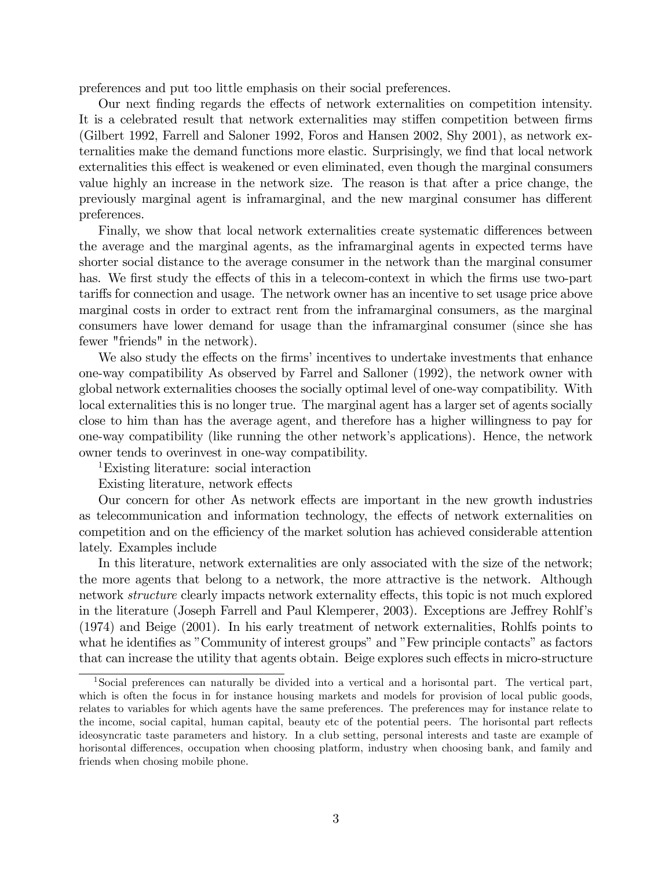preferences and put too little emphasis on their social preferences.

Our next finding regards the effects of network externalities on competition intensity. It is a celebrated result that network externalities may stiffen competition between firms (Gilbert 1992, Farrell and Saloner 1992, Foros and Hansen 2002, Shy 2001), as network externalities make the demand functions more elastic. Surprisingly, we find that local network externalities this effect is weakened or even eliminated, even though the marginal consumers value highly an increase in the network size. The reason is that after a price change, the previously marginal agent is inframarginal, and the new marginal consumer has different preferences.

Finally, we show that local network externalities create systematic differences between the average and the marginal agents, as the inframarginal agents in expected terms have shorter social distance to the average consumer in the network than the marginal consumer has. We first study the effects of this in a telecom-context in which the firms use two-part tariffs for connection and usage. The network owner has an incentive to set usage price above marginal costs in order to extract rent from the inframarginal consumers, as the marginal consumers have lower demand for usage than the inframarginal consumer (since she has fewer "friends" in the network).

We also study the effects on the firms' incentives to undertake investments that enhance one-way compatibility As observed by Farrel and Salloner (1992), the network owner with global network externalities chooses the socially optimal level of one-way compatibility. With local externalities this is no longer true. The marginal agent has a larger set of agents socially close to him than has the average agent, and therefore has a higher willingness to pay for one-way compatibility (like running the other networkís applications). Hence, the network owner tends to overinvest in one-way compatibility.

<sup>1</sup>Existing literature: social interaction

Existing literature, network effects

Our concern for other As network effects are important in the new growth industries as telecommunication and information technology, the effects of network externalities on competition and on the efficiency of the market solution has achieved considerable attention lately. Examples include

In this literature, network externalities are only associated with the size of the network; the more agents that belong to a network, the more attractive is the network. Although network *structure* clearly impacts network externality effects, this topic is not much explored in the literature (Joseph Farrell and Paul Klemperer, 2003). Exceptions are Jeffrey Rohlf's (1974) and Beige (2001). In his early treatment of network externalities, Rohlfs points to what he identifies as "Community of interest groups" and "Few principle contacts" as factors that can increase the utility that agents obtain. Beige explores such effects in micro-structure

<sup>1</sup>Social preferences can naturally be divided into a vertical and a horisontal part. The vertical part, which is often the focus in for instance housing markets and models for provision of local public goods, relates to variables for which agents have the same preferences. The preferences may for instance relate to the income, social capital, human capital, beauty etc of the potential peers. The horisontal part reflects ideosyncratic taste parameters and history. In a club setting, personal interests and taste are example of horisontal differences, occupation when choosing platform, industry when choosing bank, and family and friends when chosing mobile phone.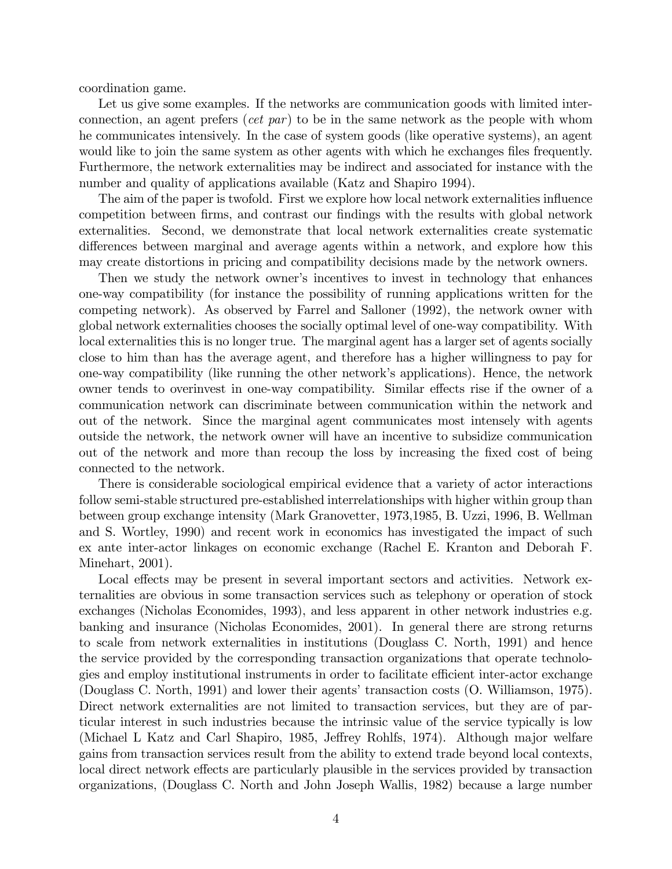coordination game.

Let us give some examples. If the networks are communication goods with limited interconnection, an agent prefers (cet par) to be in the same network as the people with whom he communicates intensively. In the case of system goods (like operative systems), an agent would like to join the same system as other agents with which he exchanges files frequently. Furthermore, the network externalities may be indirect and associated for instance with the number and quality of applications available (Katz and Shapiro 1994).

The aim of the paper is twofold. First we explore how local network externalities ináuence competition between firms, and contrast our findings with the results with global network externalities. Second, we demonstrate that local network externalities create systematic differences between marginal and average agents within a network, and explore how this may create distortions in pricing and compatibility decisions made by the network owners.

Then we study the network owner's incentives to invest in technology that enhances one-way compatibility (for instance the possibility of running applications written for the competing network). As observed by Farrel and Salloner (1992), the network owner with global network externalities chooses the socially optimal level of one-way compatibility. With local externalities this is no longer true. The marginal agent has a larger set of agents socially close to him than has the average agent, and therefore has a higher willingness to pay for one-way compatibility (like running the other networkís applications). Hence, the network owner tends to overinvest in one-way compatibility. Similar effects rise if the owner of a communication network can discriminate between communication within the network and out of the network. Since the marginal agent communicates most intensely with agents outside the network, the network owner will have an incentive to subsidize communication out of the network and more than recoup the loss by increasing the Öxed cost of being connected to the network.

There is considerable sociological empirical evidence that a variety of actor interactions follow semi-stable structured pre-established interrelationships with higher within group than between group exchange intensity (Mark Granovetter, 1973,1985, B. Uzzi, 1996, B. Wellman and S. Wortley, 1990) and recent work in economics has investigated the impact of such ex ante inter-actor linkages on economic exchange (Rachel E. Kranton and Deborah F. Minehart, 2001).

Local effects may be present in several important sectors and activities. Network externalities are obvious in some transaction services such as telephony or operation of stock exchanges (Nicholas Economides, 1993), and less apparent in other network industries e.g. banking and insurance (Nicholas Economides, 2001). In general there are strong returns to scale from network externalities in institutions (Douglass C. North, 1991) and hence the service provided by the corresponding transaction organizations that operate technologies and employ institutional instruments in order to facilitate efficient inter-actor exchange (Douglass C. North, 1991) and lower their agents' transaction costs (O. Williamson, 1975). Direct network externalities are not limited to transaction services, but they are of particular interest in such industries because the intrinsic value of the service typically is low (Michael L Katz and Carl Shapiro, 1985, Jeffrey Rohlfs, 1974). Although major welfare gains from transaction services result from the ability to extend trade beyond local contexts, local direct network effects are particularly plausible in the services provided by transaction organizations, (Douglass C. North and John Joseph Wallis, 1982) because a large number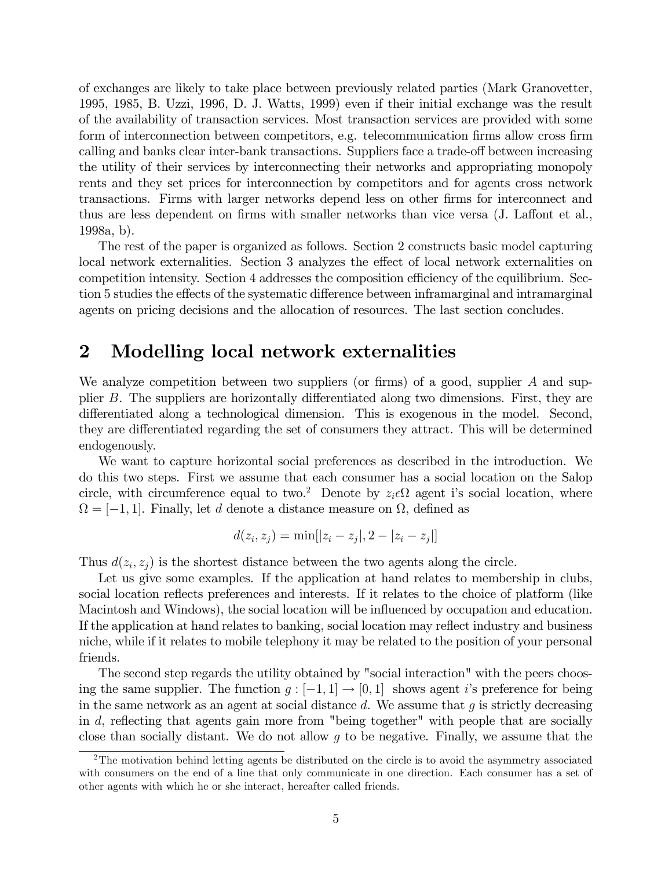of exchanges are likely to take place between previously related parties (Mark Granovetter, 1995, 1985, B. Uzzi, 1996, D. J. Watts, 1999) even if their initial exchange was the result of the availability of transaction services. Most transaction services are provided with some form of interconnection between competitors, e.g. telecommunication firms allow cross firm calling and banks clear inter-bank transactions. Suppliers face a trade-off between increasing the utility of their services by interconnecting their networks and appropriating monopoly rents and they set prices for interconnection by competitors and for agents cross network transactions. Firms with larger networks depend less on other firms for interconnect and thus are less dependent on firms with smaller networks than vice versa (J. Laffont et al., 1998a, b).

The rest of the paper is organized as follows. Section 2 constructs basic model capturing local network externalities. Section 3 analyzes the effect of local network externalities on competition intensity. Section 4 addresses the composition efficiency of the equilibrium. Section 5 studies the effects of the systematic difference between inframarginal and intramarginal agents on pricing decisions and the allocation of resources. The last section concludes.

# 2 Modelling local network externalities

We analyze competition between two suppliers (or firms) of a good, supplier  $A$  and supplier  $B$ . The suppliers are horizontally differentiated along two dimensions. First, they are differentiated along a technological dimension. This is exogenous in the model. Second, they are differentiated regarding the set of consumers they attract. This will be determined endogenously.

We want to capture horizontal social preferences as described in the introduction. We do this two steps. First we assume that each consumer has a social location on the Salop circle, with circumference equal to two.<sup>2</sup> Denote by  $z_i \in \Omega$  agent i's social location, where  $\Omega = [-1, 1]$ . Finally, let d denote a distance measure on  $\Omega$ , defined as

$$
d(z_i, z_j) = \min[|z_i - z_j|, 2 - |z_i - z_j|]
$$

Thus  $d(z_i, z_j)$  is the shortest distance between the two agents along the circle.

Let us give some examples. If the application at hand relates to membership in clubs, social location reflects preferences and interests. If it relates to the choice of platform (like Macintosh and Windows), the social location will be influenced by occupation and education. If the application at hand relates to banking, social location may reflect industry and business niche, while if it relates to mobile telephony it may be related to the position of your personal friends.

The second step regards the utility obtained by "social interaction" with the peers choosing the same supplier. The function  $g: [-1, 1] \rightarrow [0, 1]$  shows agent i's preference for being in the same network as an agent at social distance  $d$ . We assume that  $g$  is strictly decreasing in  $d$ , reflecting that agents gain more from "being together" with people that are socially close than socially distant. We do not allow  $q$  to be negative. Finally, we assume that the

<sup>&</sup>lt;sup>2</sup>The motivation behind letting agents be distributed on the circle is to avoid the asymmetry associated with consumers on the end of a line that only communicate in one direction. Each consumer has a set of other agents with which he or she interact, hereafter called friends.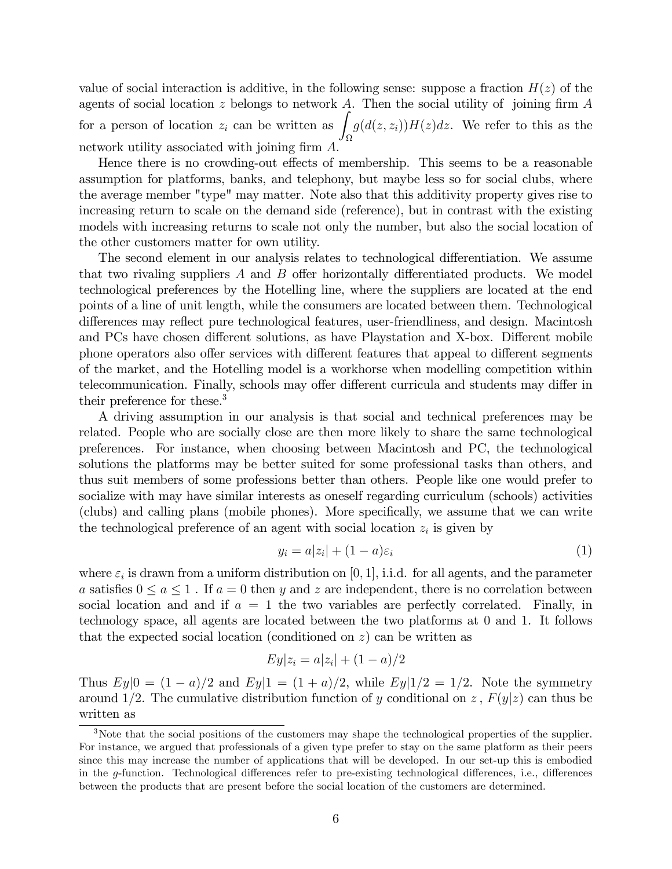value of social interaction is additive, in the following sense: suppose a fraction  $H(z)$  of the agents of social location  $z$  belongs to network  $A$ . Then the social utility of joining firm  $A$ for a person of location  $z_i$  can be written as Ω  $g(d(z, z<sub>i</sub>))H(z)dz$ . We refer to this as the network utility associated with joining firm A.

Hence there is no crowding-out effects of membership. This seems to be a reasonable assumption for platforms, banks, and telephony, but maybe less so for social clubs, where the average member "type" may matter. Note also that this additivity property gives rise to increasing return to scale on the demand side (reference), but in contrast with the existing models with increasing returns to scale not only the number, but also the social location of the other customers matter for own utility.

The second element in our analysis relates to technological differentiation. We assume that two rivaling suppliers  $A$  and  $B$  offer horizontally differentiated products. We model technological preferences by the Hotelling line, where the suppliers are located at the end points of a line of unit length, while the consumers are located between them. Technological differences may reflect pure technological features, user-friendliness, and design. Macintosh and PCs have chosen different solutions, as have Playstation and X-box. Different mobile phone operators also offer services with different features that appeal to different segments of the market, and the Hotelling model is a workhorse when modelling competition within telecommunication. Finally, schools may offer different curricula and students may differ in their preference for these.<sup>3</sup>

A driving assumption in our analysis is that social and technical preferences may be related. People who are socially close are then more likely to share the same technological preferences. For instance, when choosing between Macintosh and PC, the technological solutions the platforms may be better suited for some professional tasks than others, and thus suit members of some professions better than others. People like one would prefer to socialize with may have similar interests as oneself regarding curriculum (schools) activities (clubs) and calling plans (mobile phones). More specifically, we assume that we can write the technological preference of an agent with social location  $z_i$  is given by

$$
y_i = a|z_i| + (1 - a)\varepsilon_i \tag{1}
$$

where  $\varepsilon_i$  is drawn from a uniform distribution on [0, 1], i.i.d. for all agents, and the parameter a satisfies  $0 \le a \le 1$ . If  $a = 0$  then y and z are independent, there is no correlation between social location and and if  $a = 1$  the two variables are perfectly correlated. Finally, in technology space, all agents are located between the two platforms at 0 and 1. It follows that the expected social location (conditioned on  $z$ ) can be written as

$$
E y |z_i = a |z_i| + (1 - a)/2
$$

Thus  $E_y(0) = (1 - a)/2$  and  $E_y(1) = (1 + a)/2$ , while  $E_y(1/2) = 1/2$ . Note the symmetry around 1/2. The cumulative distribution function of y conditional on z,  $F(y|z)$  can thus be written as

<sup>3</sup>Note that the social positions of the customers may shape the technological properties of the supplier. For instance, we argued that professionals of a given type prefer to stay on the same platform as their peers since this may increase the number of applications that will be developed. In our set-up this is embodied in the g-function. Technological differences refer to pre-existing technological differences, i.e., differences between the products that are present before the social location of the customers are determined.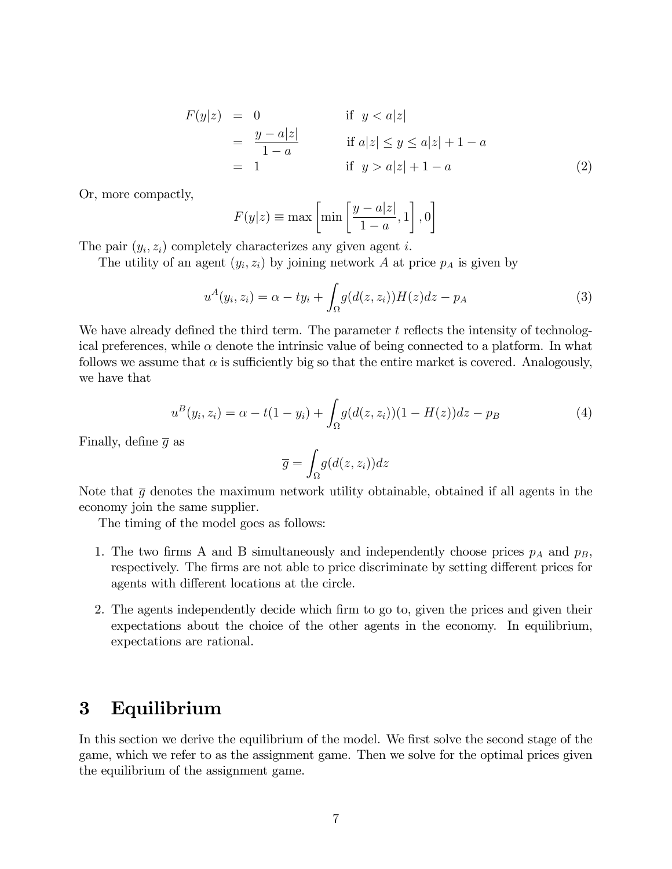F(yjz) = 0 if y < ajzj = y ajzj 1 a if ajzj y ajzj + 1 a = 1 if y > ajzj + 1 a (2)

Or, more compactly,

$$
F(y|z) \equiv \max\left[\min\left[\frac{y-a|z|}{1-a}, 1\right], 0\right]
$$

The pair  $(y_i, z_i)$  completely characterizes any given agent i.

The utility of an agent  $(y_i, z_i)$  by joining network A at price  $p_A$  is given by

$$
u^{A}(y_{i}, z_{i}) = \alpha - ty_{i} + \int_{\Omega} g(d(z, z_{i}))H(z)dz - p_{A}
$$
\n(3)

We have already defined the third term. The parameter  $t$  reflects the intensity of technological preferences, while  $\alpha$  denote the intrinsic value of being connected to a platform. In what follows we assume that  $\alpha$  is sufficiently big so that the entire market is covered. Analogously, we have that

$$
u^{B}(y_{i}, z_{i}) = \alpha - t(1 - y_{i}) + \int_{\Omega} g(d(z, z_{i}))(1 - H(z))dz - p_{B}
$$
\n(4)

Finally, define  $\overline{q}$  as

$$
\overline{g} = \int_{\Omega} g(d(z, z_i)) dz
$$

Note that  $\bar{g}$  denotes the maximum network utility obtainable, obtained if all agents in the economy join the same supplier.

The timing of the model goes as follows:

- 1. The two firms A and B simultaneously and independently choose prices  $p_A$  and  $p_B$ , respectively. The firms are not able to price discriminate by setting different prices for agents with different locations at the circle.
- 2. The agents independently decide which firm to go to, given the prices and given their expectations about the choice of the other agents in the economy. In equilibrium, expectations are rational.

# 3 Equilibrium

In this section we derive the equilibrium of the model. We first solve the second stage of the game, which we refer to as the assignment game. Then we solve for the optimal prices given the equilibrium of the assignment game.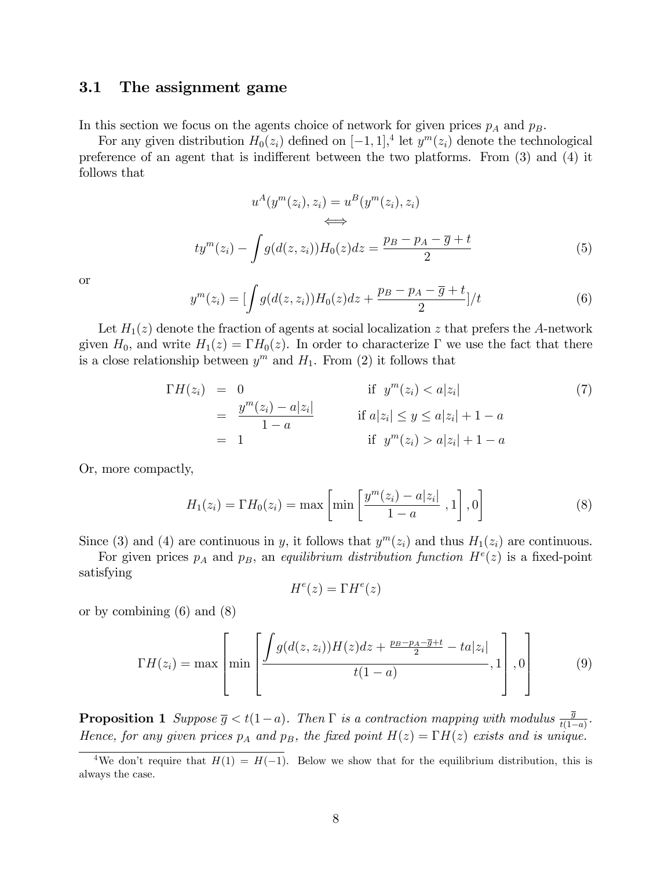### 3.1 The assignment game

In this section we focus on the agents choice of network for given prices  $p_A$  and  $p_B$ .

For any given distribution  $H_0(z_i)$  defined on  $[-1, 1],$ <sup>4</sup> let  $y^m(z_i)$  denote the technological preference of an agent that is indifferent between the two platforms. From  $(3)$  and  $(4)$  it follows that

$$
u^{A}(y^{m}(z_{i}), z_{i}) = u^{B}(y^{m}(z_{i}), z_{i})
$$
  
\n
$$
\iff
$$
  
\n
$$
ty^{m}(z_{i}) - \int g(d(z, z_{i}))H_{0}(z)dz = \frac{p_{B} - p_{A} - \overline{g} + t}{2}
$$
\n(5)

or

$$
y^{m}(z_{i}) = \left[\int g(d(z, z_{i}))H_{0}(z)dz + \frac{p_{B} - p_{A} - \overline{g} + t}{2}\right]/t
$$
\n(6)

Let  $H_1(z)$  denote the fraction of agents at social localization z that prefers the A-network given  $H_0$ , and write  $H_1(z) = \Gamma H_0(z)$ . In order to characterize  $\Gamma$  we use the fact that there is a close relationship between  $y^m$  and  $H_1$ . From (2) it follows that

$$
\Gamma H(z_i) = 0 \qquad \text{if } y^m(z_i) < a|z_i|
$$
\n
$$
= \frac{y^m(z_i) - a|z_i|}{1 - a} \qquad \text{if } a|z_i| \le y \le a|z_i| + 1 - a
$$
\n
$$
= 1 \qquad \text{if } y^m(z_i) > a|z_i| + 1 - a
$$
\n
$$
(7)
$$

Or, more compactly,

$$
H_1(z_i) = \Gamma H_0(z_i) = \max \left[ \min \left[ \frac{y^m(z_i) - a|z_i|}{1 - a}, 1 \right], 0 \right] \tag{8}
$$

Since (3) and (4) are continuous in y, it follows that  $y^m(z_i)$  and thus  $H_1(z_i)$  are continuous.

For given prices  $p_A$  and  $p_B$ , an equilibrium distribution function  $H^e(z)$  is a fixed-point satisfying

$$
H^e(z) = \Gamma H^e(z)
$$

or by combining (6) and (8)

$$
\Gamma H(z_i) = \max \left[ \min \left[ \frac{\int g(d(z, z_i)) H(z) dz + \frac{p_B - p_A - \overline{g} + t}{2} - ta|z_i|}{t(1 - a)}, 1 \right], 0 \right] \tag{9}
$$

**Proposition 1** Suppose  $\overline{g} < t(1-a)$ . Then  $\Gamma$  is a contraction mapping with modulus  $\frac{\overline{g}}{t(1-a)}$ . Hence, for any given prices  $p_A$  and  $p_B$ , the fixed point  $H(z) = \Gamma H(z)$  exists and is unique.

<sup>&</sup>lt;sup>4</sup>We don't require that  $H(1) = H(-1)$ . Below we show that for the equilibrium distribution, this is always the case.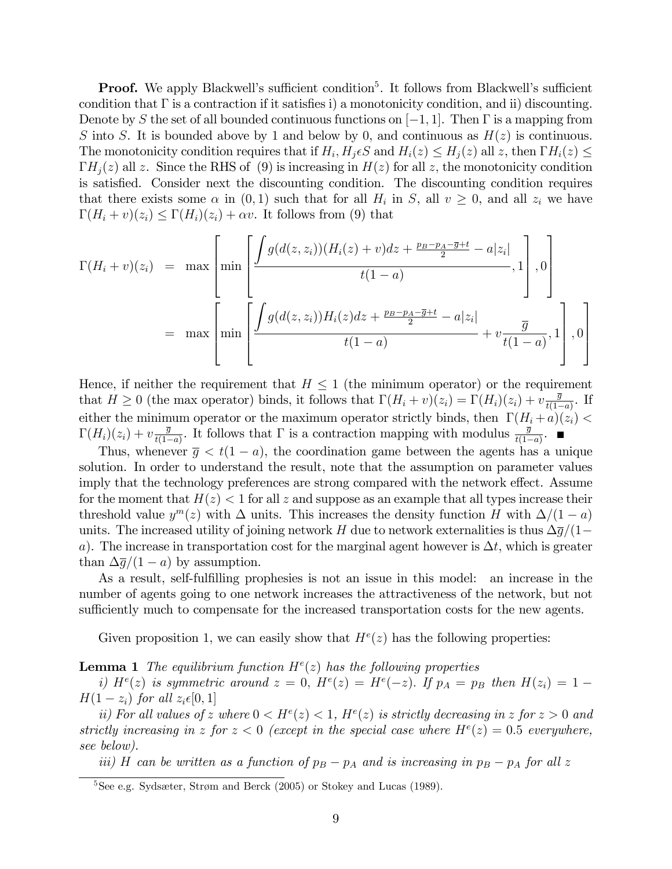**Proof.** We apply Blackwell's sufficient condition<sup>5</sup>. It follows from Blackwell's sufficient condition that  $\Gamma$  is a contraction if it satisfies i) a monotonicity condition, and ii) discounting. Denote by S the set of all bounded continuous functions on  $[-1, 1]$ . Then  $\Gamma$  is a mapping from S into S. It is bounded above by 1 and below by 0, and continuous as  $H(z)$  is continuous. The monotonicity condition requires that if  $H_i$ ,  $H_j \epsilon S$  and  $H_i(z) \leq H_j(z)$  all z, then  $\Gamma H_i(z) \leq$  $\Gamma H_j(z)$  all z. Since the RHS of (9) is increasing in  $H(z)$  for all z, the monotonicity condition is satisfied. Consider next the discounting condition. The discounting condition requires that there exists some  $\alpha$  in  $(0,1)$  such that for all  $H_i$  in S, all  $v \ge 0$ , and all  $z_i$  we have  $\Gamma(H_i + v)(z_i) \leq \Gamma(H_i)(z_i) + \alpha v$ . It follows from (9) that

$$
\Gamma(H_i + v)(z_i) = \max \left[ \min \left[ \frac{\int g(d(z, z_i))(H_i(z) + v)dz + \frac{p_B - p_A - \overline{g} + t}{2} - a|z_i|}{t(1 - a)}, 1 \right], 0 \right]
$$
  
= 
$$
\max \left[ \min \left[ \frac{\int g(d(z, z_i))H_i(z)dz + \frac{p_B - p_A - \overline{g} + t}{2} - a|z_i|}{t(1 - a)} + v \frac{\overline{g}}{t(1 - a)}, 1 \right], 0 \right]
$$

Hence, if neither the requirement that  $H \leq 1$  (the minimum operator) or the requirement that  $H \ge 0$  (the max operator) binds, it follows that  $\Gamma(H_i + v)(z_i) = \Gamma(H_i)(z_i) + v \frac{\bar{g}}{t(1 - v)}$  $\frac{g}{t(1-a)}$ . If either the minimum operator or the maximum operator strictly binds, then  $\Gamma(H_i + a)(z_i)$  <  $\Gamma(H_i)(z_i) + v \frac{\overline{g}}{t(1-\overline{g})}$  $\frac{\overline{g}}{t(1-a)}$ . It follows that  $\Gamma$  is a contraction mapping with modulus  $\frac{\overline{g}}{t(1-a)}$ .

Thus, whenever  $\bar{g} < t(1-a)$ , the coordination game between the agents has a unique solution. In order to understand the result, note that the assumption on parameter values imply that the technology preferences are strong compared with the network effect. Assume for the moment that  $H(z) < 1$  for all z and suppose as an example that all types increase their threshold value  $y^m(z)$  with  $\Delta$  units. This increases the density function H with  $\Delta/(1 - a)$ units. The increased utility of joining network H due to network externalities is thus  $\Delta \overline{g}/(1-\overline{g})$ a). The increase in transportation cost for the marginal agent however is  $\Delta t$ , which is greater than  $\Delta \overline{q}/(1 - a)$  by assumption.

As a result, self-fulfilling prophesies is not an issue in this model: an increase in the number of agents going to one network increases the attractiveness of the network, but not sufficiently much to compensate for the increased transportation costs for the new agents.

Given proposition 1, we can easily show that  $H^e(z)$  has the following properties:

**Lemma 1** The equilibrium function  $H^e(z)$  has the following properties

i)  $H^e(z)$  is symmetric around  $z = 0$ ,  $H^e(z) = H^e(-z)$ . If  $p_A = p_B$  then  $H(z_i) = 1 H(1 - z_i)$  for all  $z_i \in [0, 1]$ 

ii) For all values of z where  $0 < H^e(z) < 1$ ,  $H^e(z)$  is strictly decreasing in z for  $z > 0$  and strictly increasing in z for  $z < 0$  (except in the special case where  $H^e(z) = 0.5$  everywhere, see below).

iii) H can be written as a function of  $p_B - p_A$  and is increasing in  $p_B - p_A$  for all z

 $5$ See e.g. Sydsæter, Strøm and Berck (2005) or Stokey and Lucas (1989).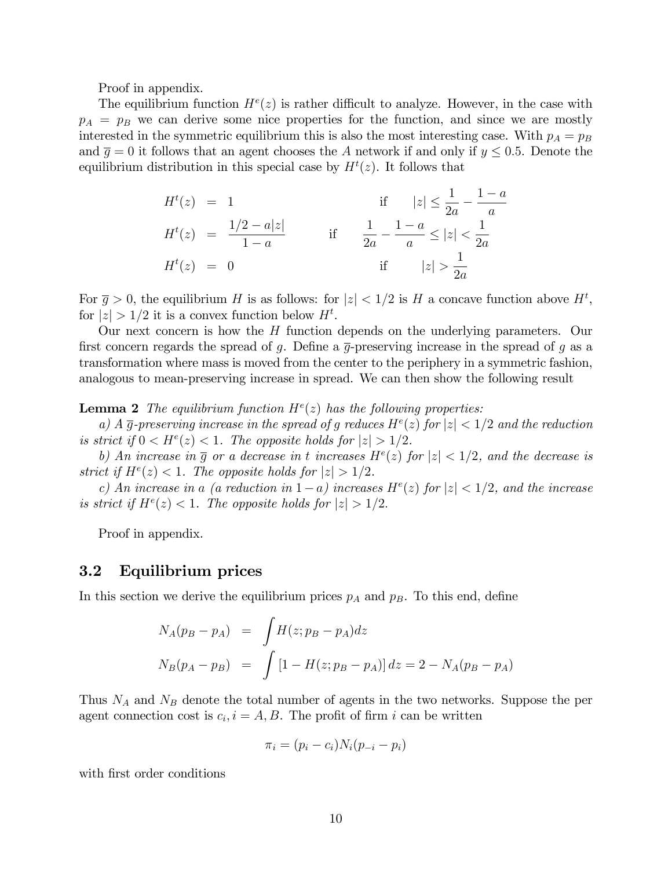Proof in appendix.

The equilibrium function  $H^e(z)$  is rather difficult to analyze. However, in the case with  $p_A = p_B$  we can derive some nice properties for the function, and since we are mostly interested in the symmetric equilibrium this is also the most interesting case. With  $p_A = p_B$ and  $\bar{g} = 0$  it follows that an agent chooses the A network if and only if  $y \leq 0.5$ . Denote the equilibrium distribution in this special case by  $H^t(z)$ . It follows that

$$
H^{t}(z) = 1
$$
 if  $|z| \le \frac{1}{2a} - \frac{1-a}{a}$   
\n
$$
H^{t}(z) = \frac{1/2 - a|z|}{1 - a}
$$
 if  $\frac{1}{2a} - \frac{1-a}{a} \le |z| < \frac{1}{2a}$   
\n
$$
H^{t}(z) = 0
$$
 if  $|z| > \frac{1}{2a}$ 

For  $\overline{g} > 0$ , the equilibrium H is as follows: for  $|z| < 1/2$  is H a concave function above  $H^t$ , for  $|z| > 1/2$  it is a convex function below  $H^t$ .

Our next concern is how the H function depends on the underlying parameters. Our first concern regards the spread of g. Define a  $\bar{g}$ -preserving increase in the spread of g as a transformation where mass is moved from the center to the periphery in a symmetric fashion, analogous to mean-preserving increase in spread. We can then show the following result

**Lemma 2** The equilibrium function  $H^e(z)$  has the following properties:

a)  $A \overline{g}$ -preserving increase in the spread of g reduces  $H^e(z)$  for  $|z| < 1/2$  and the reduction is strict if  $0 < H^e(z) < 1$ . The opposite holds for  $|z| > 1/2$ .

b) An increase in  $\overline{g}$  or a decrease in t increases  $H^e(z)$  for  $|z| < 1/2$ , and the decrease is strict if  $H^e(z) < 1$ . The opposite holds for  $|z| > 1/2$ .

c) An increase in a (a reduction in  $1-a$ ) increases  $H^e(z)$  for  $|z| < 1/2$ , and the increase is strict if  $H^e(z) < 1$ . The opposite holds for  $|z| > 1/2$ .

Proof in appendix.

#### 3.2 Equilibrium prices

In this section we derive the equilibrium prices  $p_A$  and  $p_B$ . To this end, define

$$
N_A(p_B - p_A) = \int H(z; p_B - p_A) dz
$$
  
\n
$$
N_B(p_A - p_B) = \int [1 - H(z; p_B - p_A)] dz = 2 - N_A(p_B - p_A)
$$

Thus  $N_A$  and  $N_B$  denote the total number of agents in the two networks. Suppose the per agent connection cost is  $c_i$ ,  $i = A, B$ . The profit of firm i can be written

$$
\pi_i = (p_i - c_i)N_i(p_{-i} - p_i)
$$

with first order conditions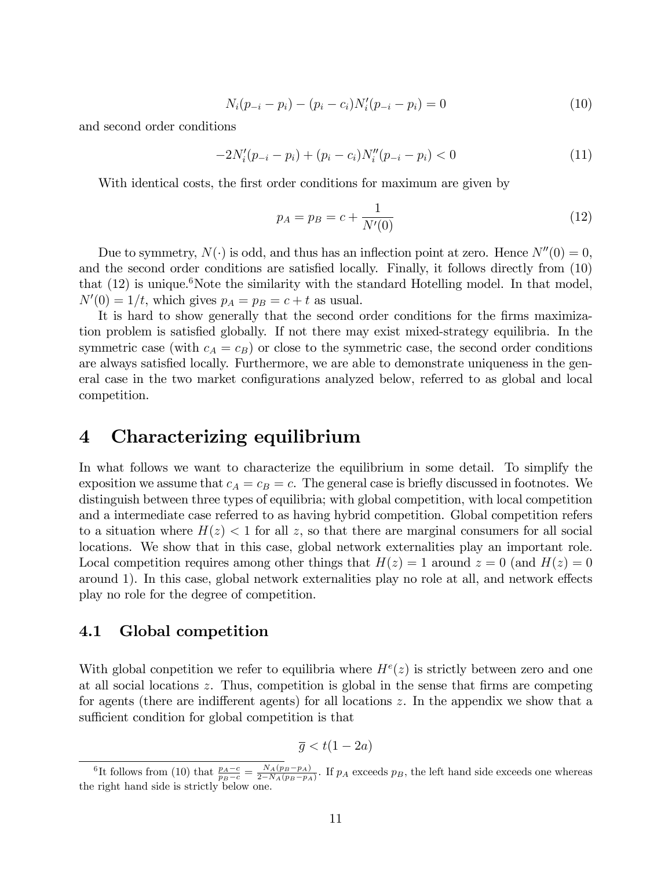$$
N_i(p_{-i} - p_i) - (p_i - c_i)N_i'(p_{-i} - p_i) = 0
$$
\n(10)

and second order conditions

$$
-2N'_{i}(p_{-i}-p_{i}) + (p_{i}-c_{i})N''_{i}(p_{-i}-p_{i}) < 0 \qquad (11)
$$

With identical costs, the first order conditions for maximum are given by

$$
p_A = p_B = c + \frac{1}{N'(0)}\tag{12}
$$

Due to symmetry,  $N(\cdot)$  is odd, and thus has an inflection point at zero. Hence  $N''(0) = 0$ , and the second order conditions are satisfied locally. Finally, it follows directly from (10) that  $(12)$  is unique.<sup>6</sup>Note the similarity with the standard Hotelling model. In that model,  $N'(0) = 1/t$ , which gives  $p_A = p_B = c + t$  as usual.

It is hard to show generally that the second order conditions for the firms maximization problem is satisfied globally. If not there may exist mixed-strategy equilibria. In the symmetric case (with  $c_A = c_B$ ) or close to the symmetric case, the second order conditions are always satisfied locally. Furthermore, we are able to demonstrate uniqueness in the general case in the two market configurations analyzed below, referred to as global and local competition.

# 4 Characterizing equilibrium

In what follows we want to characterize the equilibrium in some detail. To simplify the exposition we assume that  $c_A = c_B = c$ . The general case is briefly discussed in footnotes. We distinguish between three types of equilibria; with global competition, with local competition and a intermediate case referred to as having hybrid competition. Global competition refers to a situation where  $H(z) < 1$  for all z, so that there are marginal consumers for all social locations. We show that in this case, global network externalities play an important role. Local competition requires among other things that  $H(z) = 1$  around  $z = 0$  (and  $H(z) = 0$ ) around 1). In this case, global network externalities play no role at all, and network effects play no role for the degree of competition.

### 4.1 Global competition

With global conpetition we refer to equilibria where  $H^e(z)$  is strictly between zero and one at all social locations  $z$ . Thus, competition is global in the sense that firms are competing for agents (there are indifferent agents) for all locations  $z$ . In the appendix we show that a sufficient condition for global competition is that

$$
\overline{g} < t(1 - 2a)
$$

<sup>&</sup>lt;sup>6</sup>It follows from (10) that  $\frac{p_A-c}{p_B-c} = \frac{N_A(p_B-p_A)}{2-N_A(p_B-p_A)}$  $\frac{N_A(p_B-p_A)}{2-N_A(p_B-p_A)}$ . If  $p_A$  exceeds  $p_B$ , the left hand side exceeds one whereas the right hand side is strictly below one.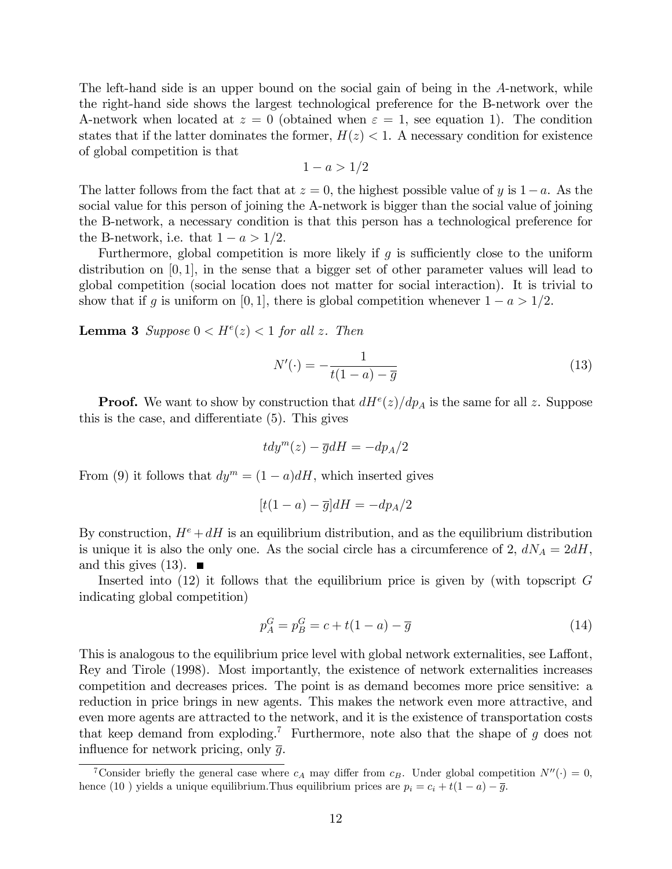The left-hand side is an upper bound on the social gain of being in the A-network, while the right-hand side shows the largest technological preference for the B-network over the A-network when located at  $z = 0$  (obtained when  $\varepsilon = 1$ , see equation 1). The condition states that if the latter dominates the former,  $H(z) < 1$ . A necessary condition for existence of global competition is that

$$
1 - a > 1/2
$$

The latter follows from the fact that at  $z = 0$ , the highest possible value of y is  $1 - a$ . As the social value for this person of joining the A-network is bigger than the social value of joining the B-network, a necessary condition is that this person has a technological preference for the B-network, i.e. that  $1 - a > 1/2$ .

Furthermore, global competition is more likely if  $g$  is sufficiently close to the uniform distribution on  $[0, 1]$ , in the sense that a bigger set of other parameter values will lead to global competition (social location does not matter for social interaction). It is trivial to show that if g is uniform on [0, 1], there is global competition whenever  $1 - a > 1/2$ .

**Lemma 3** Suppose  $0 < H^e(z) < 1$  for all z. Then

$$
N'(\cdot) = -\frac{1}{t(1-a) - \overline{g}}\tag{13}
$$

**Proof.** We want to show by construction that  $dH^e(z)/dp_A$  is the same for all z. Suppose this is the case, and differentiate  $(5)$ . This gives

$$
tdy^m(z) - \overline{g}dH = -dp_A/2
$$

From (9) it follows that  $dy^m = (1 - a)dH$ , which inserted gives

$$
[t(1-a)-\overline{g}]dH = -dp_A/2
$$

By construction,  $H^e + dH$  is an equilibrium distribution, and as the equilibrium distribution is unique it is also the only one. As the social circle has a circumference of 2,  $dN_A = 2dH$ , and this gives  $(13)$ .

Inserted into  $(12)$  it follows that the equilibrium price is given by (with topscript G indicating global competition)

$$
p_A^G = p_B^G = c + t(1 - a) - \overline{g}
$$
 (14)

This is analogous to the equilibrium price level with global network externalities, see Laffont, Rey and Tirole (1998). Most importantly, the existence of network externalities increases competition and decreases prices. The point is as demand becomes more price sensitive: a reduction in price brings in new agents. This makes the network even more attractive, and even more agents are attracted to the network, and it is the existence of transportation costs that keep demand from exploding.<sup>7</sup> Furthermore, note also that the shape of  $q$  does not influence for network pricing, only  $\overline{q}$ .

<sup>&</sup>lt;sup>7</sup>Consider briefly the general case where  $c_A$  may differ from  $c_B$ . Under global competition  $N''(.) = 0$ , hence (10) yields a unique equilibrium. Thus equilibrium prices are  $p_i = c_i + t(1 - a) - \overline{g}$ .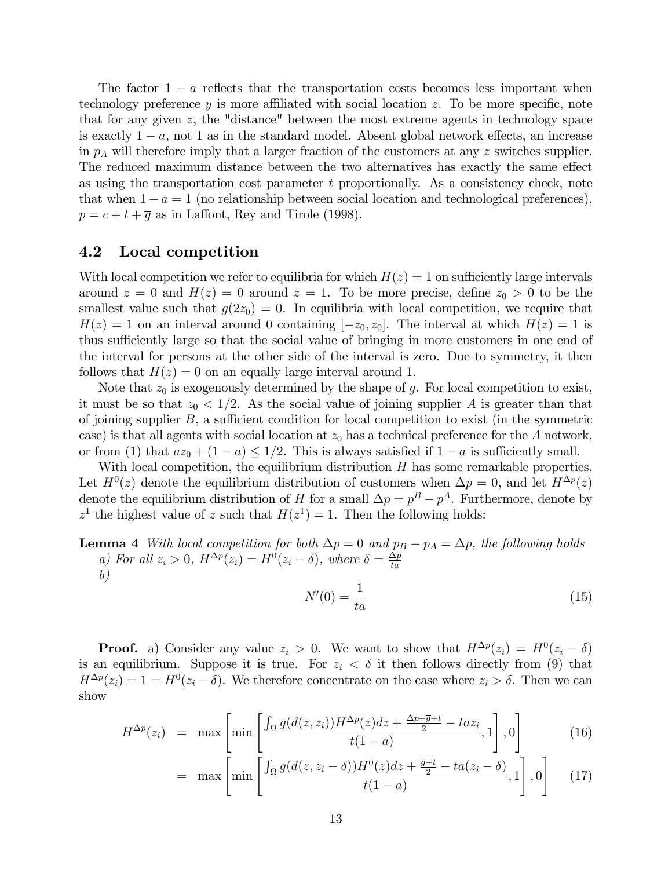The factor  $1 - a$  reflects that the transportation costs becomes less important when technology preference y is more affiliated with social location z. To be more specific, note that for any given z, the "distance" between the most extreme agents in technology space is exactly  $1 - a$ , not 1 as in the standard model. Absent global network effects, an increase in  $p_A$  will therefore imply that a larger fraction of the customers at any z switches supplier. The reduced maximum distance between the two alternatives has exactly the same effect as using the transportation cost parameter  $t$  proportionally. As a consistency check, note that when  $1 - a = 1$  (no relationship between social location and technological preferences),  $p = c + t + \overline{g}$  as in Laffont, Rey and Tirole (1998).

### 4.2 Local competition

With local competition we refer to equilibria for which  $H(z) = 1$  on sufficiently large intervals around  $z = 0$  and  $H(z) = 0$  around  $z = 1$ . To be more precise, define  $z_0 > 0$  to be the smallest value such that  $g(2z_0) = 0$ . In equilibria with local competition, we require that  $H(z) = 1$  on an interval around 0 containing  $[-z_0, z_0]$ . The interval at which  $H(z) = 1$  is thus sufficiently large so that the social value of bringing in more customers in one end of the interval for persons at the other side of the interval is zero. Due to symmetry, it then follows that  $H(z) = 0$  on an equally large interval around 1.

Note that  $z_0$  is exogenously determined by the shape of g. For local competition to exist, it must be so that  $z_0 < 1/2$ . As the social value of joining supplier A is greater than that of joining supplier  $B$ , a sufficient condition for local competition to exist (in the symmetric case) is that all agents with social location at  $z_0$  has a technical preference for the A network, or from (1) that  $az_0 + (1 - a) \leq 1/2$ . This is always satisfied if  $1 - a$  is sufficiently small.

With local competition, the equilibrium distribution  $H$  has some remarkable properties. Let  $H^0(z)$  denote the equilibrium distribution of customers when  $\Delta p = 0$ , and let  $H^{\Delta p}(z)$ denote the equilibrium distribution of H for a small  $\Delta p = p^B - p^A$ . Furthermore, denote by  $z<sup>1</sup>$  the highest value of z such that  $H(z<sup>1</sup>) = 1$ . Then the following holds:

**Lemma 4** With local competition for both  $\Delta p = 0$  and  $p_B - p_A = \Delta p$ , the following holds a) For all  $z_i > 0$ ,  $H^{\Delta p}(z_i) = H^0(z_i - \delta)$ , where  $\delta = \frac{\Delta p}{ta}$ ta b)

$$
N'(0) = \frac{1}{ta} \tag{15}
$$

**Proof.** a) Consider any value  $z_i > 0$ . We want to show that  $H^{\Delta p}(z_i) = H^0(z_i - \delta)$ is an equilibrium. Suppose it is true. For  $z_i < \delta$  it then follows directly from (9) that  $H^{\Delta p}(z_i) = 1 = H^0(z_i - \delta)$ . We therefore concentrate on the case where  $z_i > \delta$ . Then we can show

$$
H^{\Delta p}(z_i) = \max \left[ \min \left[ \frac{\int_{\Omega} g(d(z, z_i)) H^{\Delta p}(z) dz + \frac{\Delta p - \overline{g} + t}{2} - t a z_i}{t(1 - a)}, 1 \right], 0 \right] \tag{16}
$$

$$
= \max \left[ \min \left[ \frac{\int_{\Omega} g(d(z, z_i - \delta)) H^0(z) dz + \frac{\overline{g} + t}{2} - ta(z_i - \delta)}{t(1 - a)}, 1 \right], 0 \right] \tag{17}
$$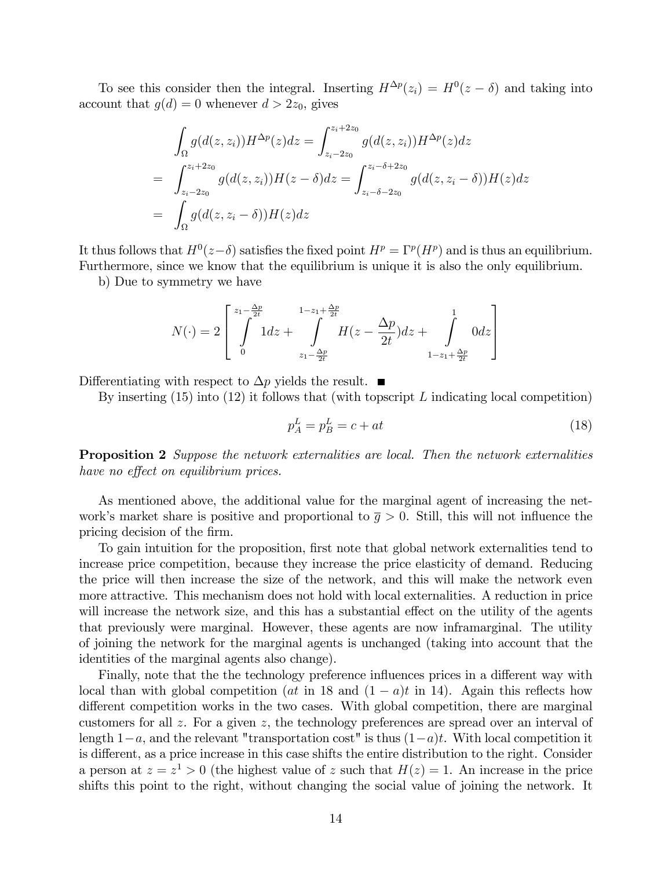To see this consider then the integral. Inserting  $H^{\Delta p}(z_i) = H^0(z - \delta)$  and taking into account that  $g(d) = 0$  whenever  $d > 2z_0$ , gives

$$
\int_{\Omega} g(d(z, z_i))H^{\Delta p}(z)dz = \int_{z_i - 2z_0}^{z_i + 2z_0} g(d(z, z_i))H^{\Delta p}(z)dz
$$
\n
$$
= \int_{z_i - 2z_0}^{z_i + 2z_0} g(d(z, z_i))H(z - \delta)dz = \int_{z_i - \delta - 2z_0}^{z_i - \delta + 2z_0} g(d(z, z_i - \delta))H(z)dz
$$
\n
$$
= \int_{\Omega} g(d(z, z_i - \delta))H(z)dz
$$

It thus follows that  $H^0(z-\delta)$  satisfies the fixed point  $H^p = \Gamma^p(H^p)$  and is thus an equilibrium. Furthermore, since we know that the equilibrium is unique it is also the only equilibrium.

b) Due to symmetry we have

$$
N(\cdot) = 2\left[\int_{0}^{z_{1} - \frac{\Delta p}{2t}} 1 dz + \int_{z_{1} - \frac{\Delta p}{2t}}^{1 - z_{1} + \frac{\Delta p}{2t}} H(z - \frac{\Delta p}{2t}) dz + \int_{1 - z_{1} + \frac{\Delta p}{2t}}^{1} 0 dz\right]
$$

Differentiating with respect to  $\Delta p$  yields the result.

By inserting  $(15)$  into  $(12)$  it follows that (with topscript L indicating local competition)

$$
p_A^L = p_B^L = c + at \tag{18}
$$

**Proposition 2** Suppose the network externalities are local. Then the network externalities have no effect on equilibrium prices.

As mentioned above, the additional value for the marginal agent of increasing the network's market share is positive and proportional to  $\bar{g} > 0$ . Still, this will not influence the pricing decision of the Örm.

To gain intuition for the proposition, first note that global network externalities tend to increase price competition, because they increase the price elasticity of demand. Reducing the price will then increase the size of the network, and this will make the network even more attractive. This mechanism does not hold with local externalities. A reduction in price will increase the network size, and this has a substantial effect on the utility of the agents that previously were marginal. However, these agents are now inframarginal. The utility of joining the network for the marginal agents is unchanged (taking into account that the identities of the marginal agents also change).

Finally, note that the the technology preference influences prices in a different way with local than with global competition (*at* in 18 and  $(1 - a)t$  in 14). Again this reflects how different competition works in the two cases. With global competition, there are marginal customers for all z. For a given z, the technology preferences are spread over an interval of length  $1-a$ , and the relevant "transportation cost" is thus  $(1-a)t$ . With local competition it is different, as a price increase in this case shifts the entire distribution to the right. Consider a person at  $z = z^1 > 0$  (the highest value of z such that  $H(z) = 1$ . An increase in the price shifts this point to the right, without changing the social value of joining the network. It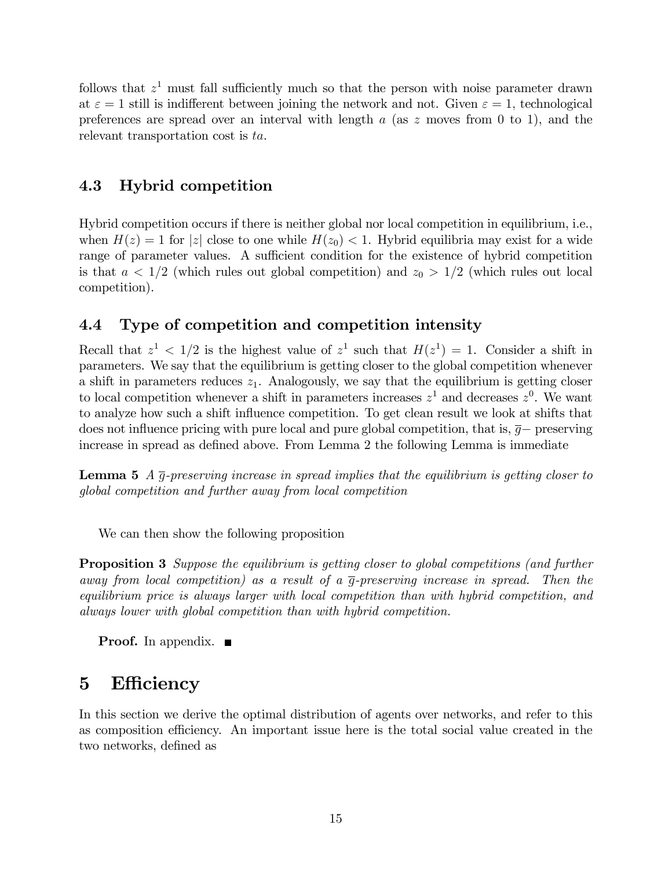follows that  $z<sup>1</sup>$  must fall sufficiently much so that the person with noise parameter drawn at  $\varepsilon = 1$  still is indifferent between joining the network and not. Given  $\varepsilon = 1$ , technological preferences are spread over an interval with length  $a$  (as  $z$  moves from 0 to 1), and the relevant transportation cost is ta.

### 4.3 Hybrid competition

Hybrid competition occurs if there is neither global nor local competition in equilibrium, i.e., when  $H(z) = 1$  for |z| close to one while  $H(z_0) < 1$ . Hybrid equilibria may exist for a wide range of parameter values. A sufficient condition for the existence of hybrid competition is that  $a < 1/2$  (which rules out global competition) and  $z_0 > 1/2$  (which rules out local competition).

### 4.4 Type of competition and competition intensity

Recall that  $z^1$  < 1/2 is the highest value of  $z^1$  such that  $H(z^1) = 1$ . Consider a shift in parameters. We say that the equilibrium is getting closer to the global competition whenever a shift in parameters reduces  $z_1$ . Analogously, we say that the equilibrium is getting closer to local competition whenever a shift in parameters increases  $z<sup>1</sup>$  and decreases  $z<sup>0</sup>$ . We want to analyze how such a shift influence competition. To get clean result we look at shifts that does not influence pricing with pure local and pure global competition, that is,  $\bar{q}$  preserving increase in spread as defined above. From Lemma 2 the following Lemma is immediate

**Lemma 5** A  $\overline{q}$ -preserving increase in spread implies that the equilibrium is getting closer to global competition and further away from local competition

We can then show the following proposition

Proposition 3 Suppose the equilibrium is getting closer to global competitions (and further away from local competition) as a result of a  $\overline{g}$ -preserving increase in spread. Then the equilibrium price is always larger with local competition than with hybrid competition, and always lower with global competition than with hybrid competition.

**Proof.** In appendix.  $\blacksquare$ 

# 5 Efficiency

In this section we derive the optimal distribution of agents over networks, and refer to this as composition efficiency. An important issue here is the total social value created in the two networks, defined as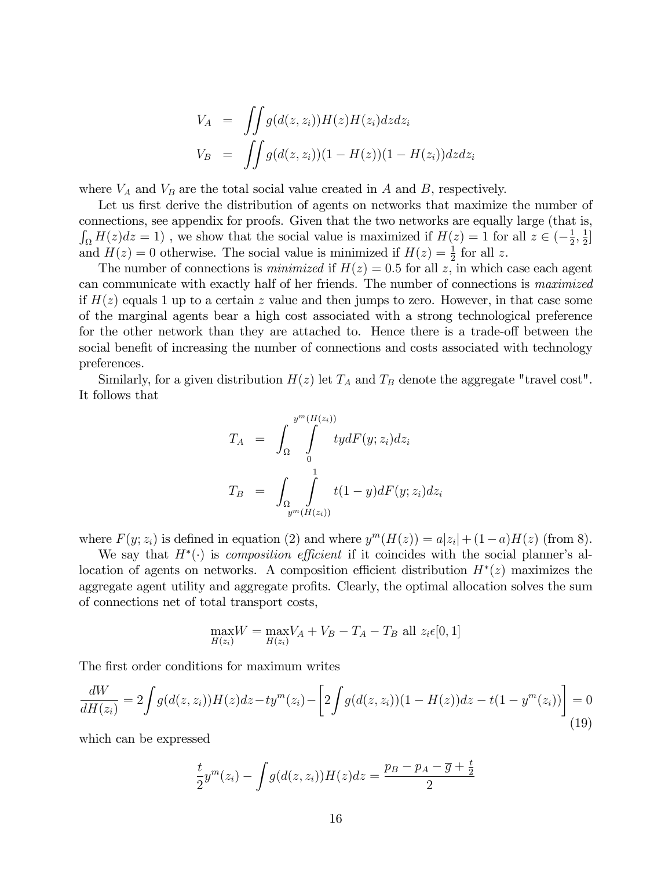$$
V_A = \iint g(d(z, z_i))H(z)H(z_i)dzdz_i
$$
  
\n
$$
V_B = \iint g(d(z, z_i))(1 - H(z))(1 - H(z_i))dzdz_i
$$

where  $V_A$  and  $V_B$  are the total social value created in A and B, respectively.

Let us first derive the distribution of agents on networks that maximize the number of connections, see appendix for proofs. Given that the two networks are equally large (that is,  $\int_{\Omega} H(z) dz = 1$ ), we show that the social value is maximized if  $H(z) = 1$  for all  $z \in \left(-\frac{1}{2}\right)$  $\frac{1}{2}, \frac{1}{2}$  $\frac{1}{2}$ and  $H(z) = 0$  otherwise. The social value is minimized if  $H(z) = \frac{1}{2}$  for all z.

The number of connections is *minimized* if  $H(z) = 0.5$  for all z, in which case each agent can communicate with exactly half of her friends. The number of connections is maximized if  $H(z)$  equals 1 up to a certain z value and then jumps to zero. However, in that case some of the marginal agents bear a high cost associated with a strong technological preference for the other network than they are attached to. Hence there is a trade-off between the social benefit of increasing the number of connections and costs associated with technology preferences.

Similarly, for a given distribution  $H(z)$  let  $T_A$  and  $T_B$  denote the aggregate "travel cost". It follows that

$$
T_A = \int_{\Omega} \int_{0}^{y^{m}(H(z_i))} tydF(y; z_i) dz_i
$$

$$
T_B = \int_{\Omega} \int_{y^{m}(H(z_i))}^{1} t(1-y)dF(y; z_i) dz_i
$$

where  $F(y; z_i)$  is defined in equation (2) and where  $y^m(H(z)) = a|z_i| + (1-a)H(z)$  (from 8).

We say that  $H^*(\cdot)$  is *composition efficient* if it coincides with the social planner's allocation of agents on networks. A composition efficient distribution  $H^*(z)$  maximizes the aggregate agent utility and aggregate profits. Clearly, the optimal allocation solves the sum of connections net of total transport costs,

$$
\max_{H(z_i)} W = \max_{H(z_i)} V_A + V_B - T_A - T_B \text{ all } z_i \in [0, 1]
$$

The first order conditions for maximum writes

$$
\frac{dW}{dH(z_i)} = 2 \int g(d(z, z_i)) H(z) dz - t y^m(z_i) - \left[ 2 \int g(d(z, z_i)) (1 - H(z)) dz - t (1 - y^m(z_i)) \right] = 0
$$
\n(19)

which can be expressed

$$
\frac{t}{2}y^{m}(z_{i}) - \int g(d(z, z_{i}))H(z)dz = \frac{p_{B} - p_{A} - \overline{g} + \frac{t}{2}}{2}
$$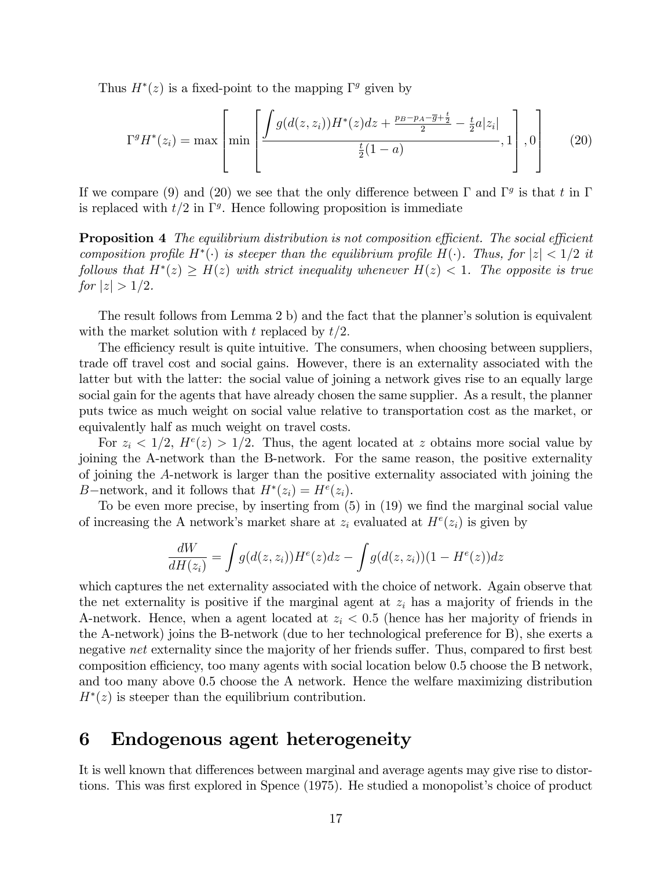Thus  $H^*(z)$  is a fixed-point to the mapping  $\Gamma^g$  given by

$$
\Gamma^{g}H^{*}(z_{i}) = \max \left[ \min \left[ \frac{\int g(d(z,z_{i}))H^{*}(z)dz + \frac{p_{B}-p_{A}-\overline{g}+\frac{t}{2}}{2} - \frac{t}{2}a|z_{i}|}{\frac{t}{2}(1-a)}, 1 \right], 0 \right] \qquad (20)
$$

If we compare (9) and (20) we see that the only difference between  $\Gamma$  and  $\Gamma^g$  is that t in  $\Gamma$ is replaced with  $t/2$  in  $\Gamma<sup>g</sup>$ . Hence following proposition is immediate

**Proposition 4** The equilibrium distribution is not composition efficient. The social efficient composition profile  $H^*(\cdot)$  is steeper than the equilibrium profile  $H(\cdot)$ . Thus, for  $|z| < 1/2$  it follows that  $H^*(z) \geq H(z)$  with strict inequality whenever  $H(z) < 1$ . The opposite is true for  $|z| > 1/2$ .

The result follows from Lemma 2 b) and the fact that the planner's solution is equivalent with the market solution with t replaced by  $t/2$ .

The efficiency result is quite intuitive. The consumers, when choosing between suppliers, trade off travel cost and social gains. However, there is an externality associated with the latter but with the latter: the social value of joining a network gives rise to an equally large social gain for the agents that have already chosen the same supplier. As a result, the planner puts twice as much weight on social value relative to transportation cost as the market, or equivalently half as much weight on travel costs.

For  $z_i < 1/2$ ,  $H^e(z) > 1/2$ . Thus, the agent located at z obtains more social value by joining the A-network than the B-network. For the same reason, the positive externality of joining the A-network is larger than the positive externality associated with joining the B-network, and it follows that  $H^*(z_i) = H^e(z_i)$ .

To be even more precise, by inserting from  $(5)$  in  $(19)$  we find the marginal social value of increasing the A network's market share at  $z_i$  evaluated at  $H^e(z_i)$  is given by

$$
\frac{dW}{dH(z_i)} = \int g(d(z, z_i))H^e(z)dz - \int g(d(z, z_i))(1 - H^e(z))dz
$$

which captures the net externality associated with the choice of network. Again observe that the net externality is positive if the marginal agent at  $z<sub>i</sub>$  has a majority of friends in the A-network. Hence, when a agent located at  $z<sub>i</sub> < 0.5$  (hence has her majority of friends in the A-network) joins the B-network (due to her technological preference for B), she exerts a negative net externality since the majority of her friends suffer. Thus, compared to first best composition efficiency, too many agents with social location below 0.5 choose the B network, and too many above 0.5 choose the A network. Hence the welfare maximizing distribution  $H^*(z)$  is steeper than the equilibrium contribution.

### 6 Endogenous agent heterogeneity

It is well known that differences between marginal and average agents may give rise to distortions. This was first explored in Spence (1975). He studied a monopolist's choice of product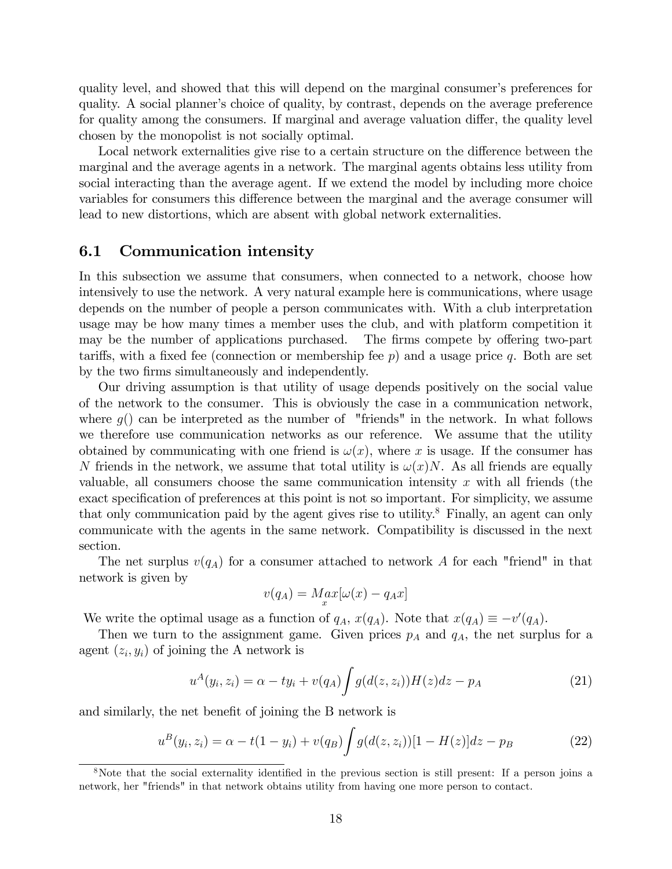quality level, and showed that this will depend on the marginal consumer's preferences for quality. A social planner's choice of quality, by contrast, depends on the average preference for quality among the consumers. If marginal and average valuation differ, the quality level chosen by the monopolist is not socially optimal.

Local network externalities give rise to a certain structure on the difference between the marginal and the average agents in a network. The marginal agents obtains less utility from social interacting than the average agent. If we extend the model by including more choice variables for consumers this difference between the marginal and the average consumer will lead to new distortions, which are absent with global network externalities.

### 6.1 Communication intensity

In this subsection we assume that consumers, when connected to a network, choose how intensively to use the network. A very natural example here is communications, where usage depends on the number of people a person communicates with. With a club interpretation usage may be how many times a member uses the club, and with platform competition it may be the number of applications purchased. The firms compete by offering two-part tariffs, with a fixed fee (connection or membership fee  $p$ ) and a usage price  $q$ . Both are set by the two firms simultaneously and independently.

Our driving assumption is that utility of usage depends positively on the social value of the network to the consumer. This is obviously the case in a communication network, where  $q()$  can be interpreted as the number of "friends" in the network. In what follows we therefore use communication networks as our reference. We assume that the utility obtained by communicating with one friend is  $\omega(x)$ , where x is usage. If the consumer has N friends in the network, we assume that total utility is  $\omega(x)N$ . As all friends are equally valuable, all consumers choose the same communication intensity  $x$  with all friends (the exact specification of preferences at this point is not so important. For simplicity, we assume that only communication paid by the agent gives rise to utility.<sup>8</sup> Finally, an agent can only communicate with the agents in the same network. Compatibility is discussed in the next section.

The net surplus  $v(q_A)$  for a consumer attached to network A for each "friend" in that network is given by

$$
v(q_A) = M_a x [\omega(x) - q_A x]
$$

We write the optimal usage as a function of  $q_A$ ,  $x(q_A)$ . Note that  $x(q_A) \equiv -v'(q_A)$ .

Then we turn to the assignment game. Given prices  $p_A$  and  $q_A$ , the net surplus for a agent  $(z_i, y_i)$  of joining the A network is

$$
u^{A}(y_{i}, z_{i}) = \alpha - ty_{i} + v(q_{A}) \int g(d(z, z_{i})) H(z) dz - p_{A}
$$
 (21)

and similarly, the net benefit of joining the B network is

$$
u^{B}(y_{i}, z_{i}) = \alpha - t(1 - y_{i}) + v(q_{B}) \int g(d(z, z_{i})) [1 - H(z)] dz - p_{B}
$$
\n(22)

<sup>&</sup>lt;sup>8</sup>Note that the social externality identified in the previous section is still present: If a person joins a network, her "friends" in that network obtains utility from having one more person to contact.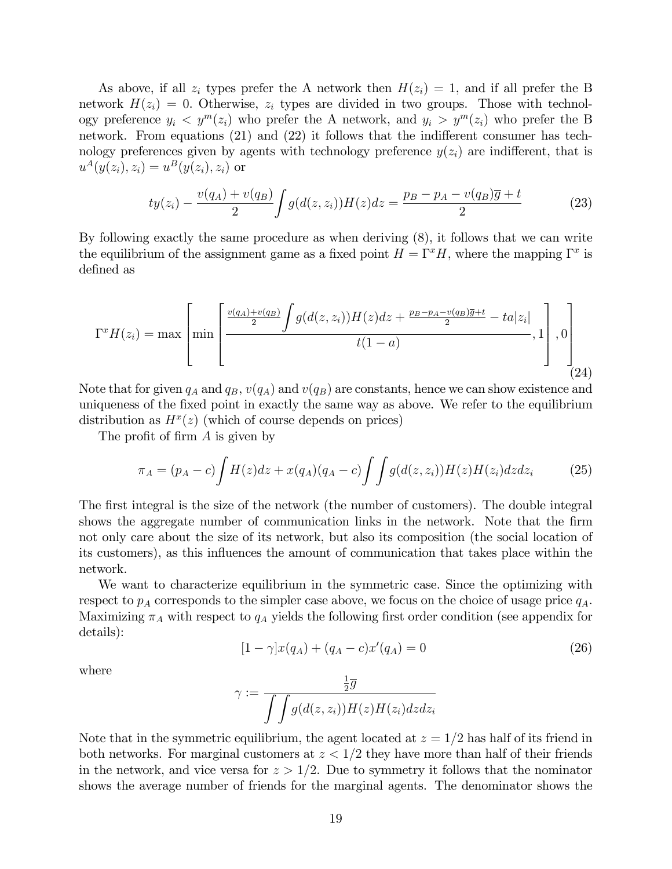As above, if all  $z_i$  types prefer the A network then  $H(z_i) = 1$ , and if all prefer the B network  $H(z_i) = 0$ . Otherwise,  $z_i$  types are divided in two groups. Those with technology preference  $y_i \leq y^m(z_i)$  who prefer the A network, and  $y_i > y^m(z_i)$  who prefer the B network. From equations  $(21)$  and  $(22)$  it follows that the indifferent consumer has technology preferences given by agents with technology preference  $y(z_i)$  are indifferent, that is  $u^{A}(y(z_{i}), z_{i}) = u^{B}(y(z_{i}), z_{i})$  or

$$
ty(z_i) - \frac{v(q_A) + v(q_B)}{2} \int g(d(z, z_i)) H(z) dz = \frac{p_B - p_A - v(q_B)\overline{g} + t}{2}
$$
 (23)

By following exactly the same procedure as when deriving (8), it follows that we can write the equilibrium of the assignment game as a fixed point  $H = \Gamma^x H$ , where the mapping  $\Gamma^x$  is defined as

$$
\Gamma^x H(z_i) = \max \left[ \min \left[ \frac{\frac{v(q_A) + v(q_B)}{2} \int g(d(z, z_i)) H(z) dz + \frac{p_B - p_A - v(q_B)\overline{g} + t}{2} - ta|z_i|}{t(1 - a)}, 1 \right], 0 \right] \tag{24}
$$

Note that for given  $q_A$  and  $q_B$ ,  $v(q_A)$  and  $v(q_B)$  are constants, hence we can show existence and uniqueness of the Öxed point in exactly the same way as above. We refer to the equilibrium distribution as  $H^x(z)$  (which of course depends on prices)

The profit of firm  $A$  is given by

$$
\pi_A = (p_A - c) \int H(z) dz + x(q_A)(q_A - c) \int \int g(d(z, z_i)) H(z) H(z_i) dz dz_i \tag{25}
$$

The first integral is the size of the network (the number of customers). The double integral shows the aggregate number of communication links in the network. Note that the firm not only care about the size of its network, but also its composition (the social location of its customers), as this influences the amount of communication that takes place within the network.

We want to characterize equilibrium in the symmetric case. Since the optimizing with respect to  $p_A$  corresponds to the simpler case above, we focus on the choice of usage price  $q_A$ . Maximizing  $\pi_A$  with respect to  $q_A$  yields the following first order condition (see appendix for details):

$$
[1 - \gamma]x(q_A) + (q_A - c)x'(q_A) = 0 \tag{26}
$$

where

$$
\gamma := \frac{\frac{1}{2}\overline{g}}{\int \int g(d(z,z_i))H(z)H(z_i)dzdz_i}
$$

Note that in the symmetric equilibrium, the agent located at  $z = 1/2$  has half of its friend in both networks. For marginal customers at  $z < 1/2$  they have more than half of their friends in the network, and vice versa for  $z > 1/2$ . Due to symmetry it follows that the nominator shows the average number of friends for the marginal agents. The denominator shows the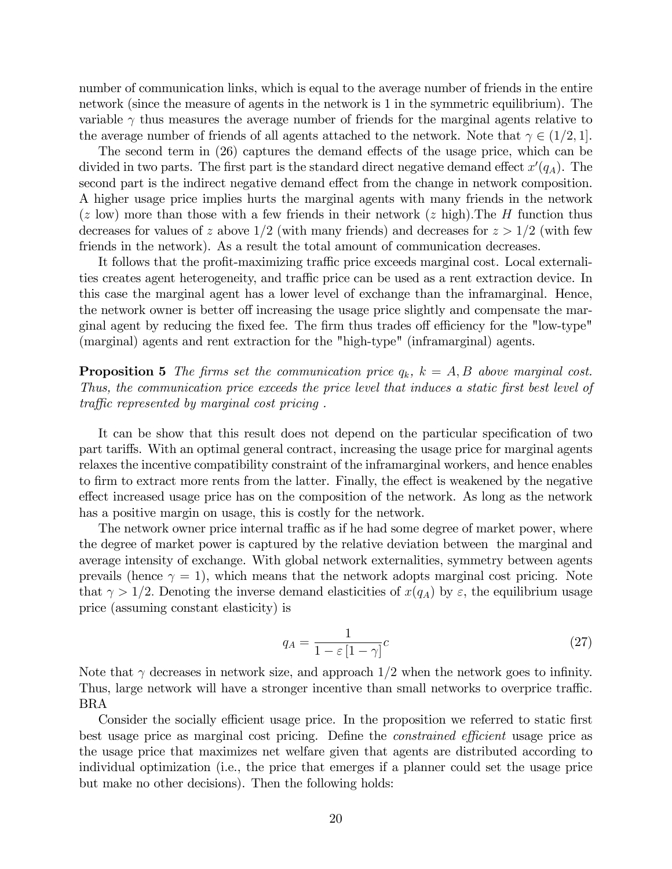number of communication links, which is equal to the average number of friends in the entire network (since the measure of agents in the network is 1 in the symmetric equilibrium). The variable  $\gamma$  thus measures the average number of friends for the marginal agents relative to the average number of friends of all agents attached to the network. Note that  $\gamma \in (1/2, 1]$ .

The second term in  $(26)$  captures the demand effects of the usage price, which can be divided in two parts. The first part is the standard direct negative demand effect  $x'(q_A)$ . The second part is the indirect negative demand effect from the change in network composition. A higher usage price implies hurts the marginal agents with many friends in the network (z low) more than those with a few friends in their network (z high). The H function thus decreases for values of z above  $1/2$  (with many friends) and decreases for  $z > 1/2$  (with few friends in the network). As a result the total amount of communication decreases.

It follows that the profit-maximizing traffic price exceeds marginal cost. Local externalities creates agent heterogeneity, and traffic price can be used as a rent extraction device. In this case the marginal agent has a lower level of exchange than the inframarginal. Hence, the network owner is better off increasing the usage price slightly and compensate the marginal agent by reducing the fixed fee. The firm thus trades of efficiency for the "low-type" (marginal) agents and rent extraction for the "high-type" (inframarginal) agents.

**Proposition 5** The firms set the communication price  $q_k$ ,  $k = A, B$  above marginal cost. Thus, the communication price exceeds the price level that induces a static first best level of traffic represented by marginal cost pricing.

It can be show that this result does not depend on the particular specification of two part tariffs. With an optimal general contract, increasing the usage price for marginal agents relaxes the incentive compatibility constraint of the inframarginal workers, and hence enables to firm to extract more rents from the latter. Finally, the effect is weakened by the negative effect increased usage price has on the composition of the network. As long as the network has a positive margin on usage, this is costly for the network.

The network owner price internal traffic as if he had some degree of market power, where the degree of market power is captured by the relative deviation between the marginal and average intensity of exchange. With global network externalities, symmetry between agents prevails (hence  $\gamma = 1$ ), which means that the network adopts marginal cost pricing. Note that  $\gamma > 1/2$ . Denoting the inverse demand elasticities of  $x(q_A)$  by  $\varepsilon$ , the equilibrium usage price (assuming constant elasticity) is

$$
q_A = \frac{1}{1 - \varepsilon \left[1 - \gamma\right]} c \tag{27}
$$

Note that  $\gamma$  decreases in network size, and approach  $1/2$  when the network goes to infinity. Thus, large network will have a stronger incentive than small networks to overprice traffic. BRA

Consider the socially efficient usage price. In the proposition we referred to static first best usage price as marginal cost pricing. Define the *constrained efficient* usage price as the usage price that maximizes net welfare given that agents are distributed according to individual optimization (i.e., the price that emerges if a planner could set the usage price but make no other decisions). Then the following holds: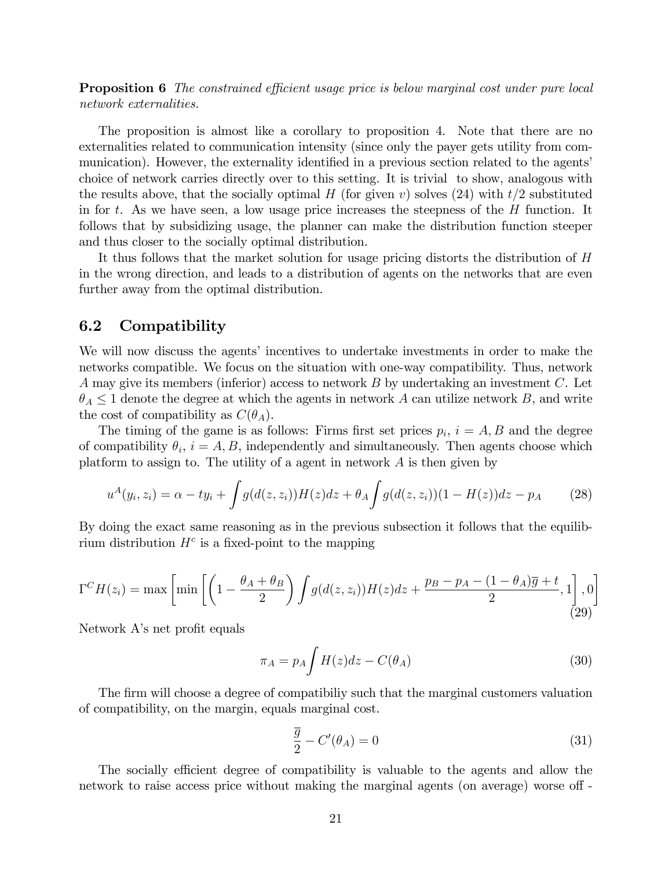**Proposition 6** The constrained efficient usage price is below marginal cost under pure local network externalities.

The proposition is almost like a corollary to proposition 4. Note that there are no externalities related to communication intensity (since only the payer gets utility from communication). However, the externality identified in a previous section related to the agents' choice of network carries directly over to this setting. It is trivial to show, analogous with the results above, that the socially optimal H (for given v) solves (24) with  $t/2$  substituted in for  $t$ . As we have seen, a low usage price increases the steepness of the  $H$  function. It follows that by subsidizing usage, the planner can make the distribution function steeper and thus closer to the socially optimal distribution.

It thus follows that the market solution for usage pricing distorts the distribution of H in the wrong direction, and leads to a distribution of agents on the networks that are even further away from the optimal distribution.

#### 6.2 Compatibility

We will now discuss the agents' incentives to undertake investments in order to make the networks compatible. We focus on the situation with one-way compatibility. Thus, network A may give its members (inferior) access to network B by undertaking an investment C. Let  $\theta_A \leq 1$  denote the degree at which the agents in network A can utilize network B, and write the cost of compatibility as  $C(\theta_A)$ .

The timing of the game is as follows: Firms first set prices  $p_i$ ,  $i = A, B$  and the degree of compatibility  $\theta_i$ ,  $i = A, B$ , independently and simultaneously. Then agents choose which platform to assign to. The utility of a agent in network  $A$  is then given by

$$
u^{A}(y_{i}, z_{i}) = \alpha - ty_{i} + \int g(d(z, z_{i}))H(z)dz + \theta_{A} \int g(d(z, z_{i}))(1 - H(z))dz - p_{A}
$$
 (28)

By doing the exact same reasoning as in the previous subsection it follows that the equilibrium distribution  $H^c$  is a fixed-point to the mapping

$$
\Gamma^C H(z_i) = \max \left[ \min \left[ \left( 1 - \frac{\theta_A + \theta_B}{2} \right) \int g(d(z, z_i)) H(z) dz + \frac{p_B - p_A - (1 - \theta_A)\overline{g} + t}{2}, 1 \right], 0 \right]
$$
(29)

Network  $A$ 's net profit equals

$$
\pi_A = p_A \int H(z) dz - C(\theta_A) \tag{30}
$$

The firm will choose a degree of compatibility such that the marginal customers valuation of compatibility, on the margin, equals marginal cost.

$$
\frac{\overline{g}}{2} - C'(\theta_A) = 0 \tag{31}
$$

The socially efficient degree of compatibility is valuable to the agents and allow the network to raise access price without making the marginal agents (on average) worse of -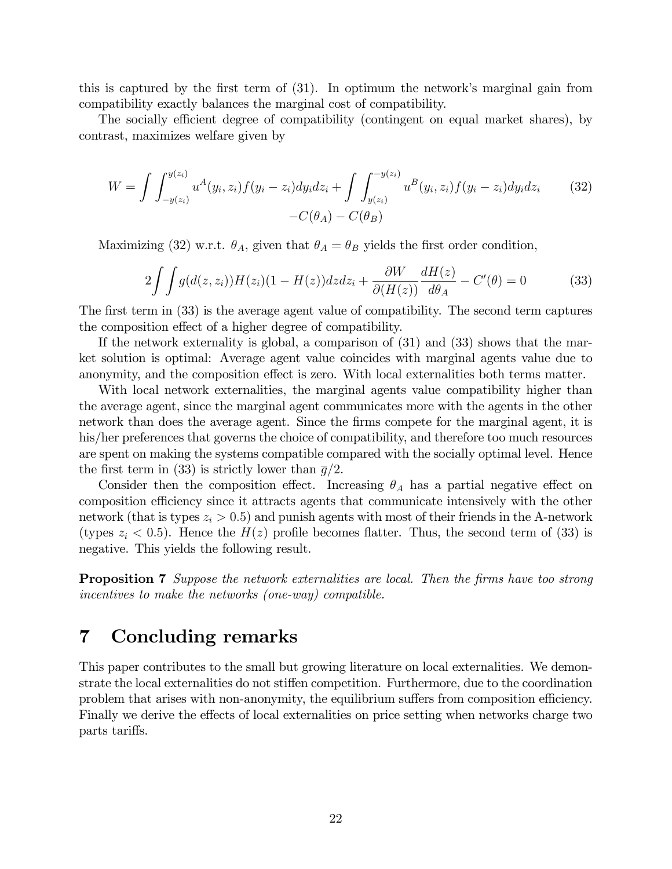this is captured by the first term of  $(31)$ . In optimum the network's marginal gain from compatibility exactly balances the marginal cost of compatibility.

The socially efficient degree of compatibility (contingent on equal market shares), by contrast, maximizes welfare given by

$$
W = \int \int_{-y(z_i)}^{y(z_i)} u^A(y_i, z_i) f(y_i - z_i) dy_i dz_i + \int \int_{y(z_i)}^{-y(z_i)} u^B(y_i, z_i) f(y_i - z_i) dy_i dz_i
$$
(32)  
- $C(\theta_A) - C(\theta_B)$ 

Maximizing (32) w.r.t.  $\theta_A$ , given that  $\theta_A = \theta_B$  yields the first order condition,

$$
2\int\int g(d(z,z_i))H(z_i)(1-H(z))dzdz_i + \frac{\partial W}{\partial(H(z))}\frac{dH(z)}{d\theta_A} - C'(\theta) = 0
$$
 (33)

The first term in (33) is the average agent value of compatibility. The second term captures the composition effect of a higher degree of compatibility.

If the network externality is global, a comparison of (31) and (33) shows that the market solution is optimal: Average agent value coincides with marginal agents value due to anonymity, and the composition effect is zero. With local externalities both terms matter.

With local network externalities, the marginal agents value compatibility higher than the average agent, since the marginal agent communicates more with the agents in the other network than does the average agent. Since the firms compete for the marginal agent, it is his/her preferences that governs the choice of compatibility, and therefore too much resources are spent on making the systems compatible compared with the socially optimal level. Hence the first term in (33) is strictly lower than  $\overline{g}/2$ .

Consider then the composition effect. Increasing  $\theta_A$  has a partial negative effect on composition efficiency since it attracts agents that communicate intensively with the other network (that is types  $z_i > 0.5$ ) and punish agents with most of their friends in the A-network (types  $z_i < 0.5$ ). Hence the  $H(z)$  profile becomes flatter. Thus, the second term of (33) is negative. This yields the following result.

**Proposition 7** Suppose the network externalities are local. Then the firms have too strong incentives to make the networks (one-way) compatible.

# 7 Concluding remarks

This paper contributes to the small but growing literature on local externalities. We demonstrate the local externalities do not stiffen competition. Furthermore, due to the coordination problem that arises with non-anonymity, the equilibrium suffers from composition efficiency. Finally we derive the effects of local externalities on price setting when networks charge two parts tariffs.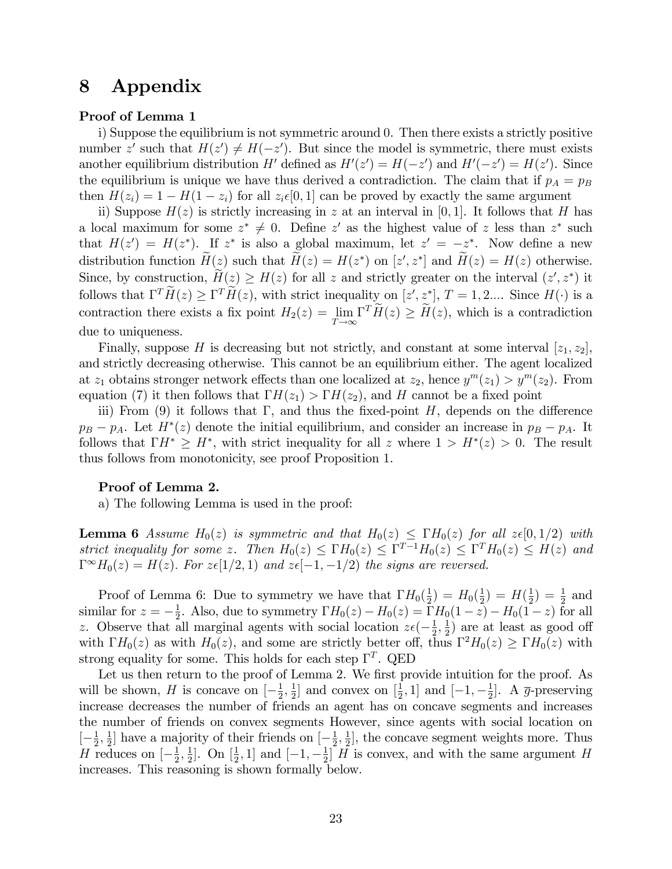# 8 Appendix

#### Proof of Lemma 1

i) Suppose the equilibrium is not symmetric around 0. Then there exists a strictly positive number z' such that  $H(z') \neq H(-z')$ . But since the model is symmetric, there must exists another equilibrium distribution H' defined as  $H'(z') = H(-z')$  and  $H'(-z') = H(z')$ . Since the equilibrium is unique we have thus derived a contradiction. The claim that if  $p_A = p_B$ then  $H(z_i) = 1 - H(1 - z_i)$  for all  $z_i \in [0, 1]$  can be proved by exactly the same argument

ii) Suppose  $H(z)$  is strictly increasing in z at an interval in [0, 1]. It follows that H has a local maximum for some  $z^* \neq 0$ . Define  $z'$  as the highest value of z less than  $z^*$  such that  $H(z') = H(z^*)$ . If  $z^*$  is also a global maximum, let  $z' = -z^*$ . Now define a new distribution function  $H(z)$  such that  $H(z) = H(z^*)$  on  $[z', z^*]$  and  $H(z) = H(z)$  otherwise. Since, by construction,  $H(z) \geq H(z)$  for all z and strictly greater on the interval  $(z', z^*)$  it follows that  $\Gamma^T H(z) \geq \Gamma^T H(z)$ , with strict inequality on  $[z', z^*], T = 1, 2...$  Since  $H(\cdot)$  is a contraction there exists a fix point  $H_2(z) = \lim_{x \to 0}$  $T\rightarrow\infty$  $\Gamma^T \overline{H}(z) \geq \overline{H}(z)$ , which is a contradiction due to uniqueness.

Finally, suppose H is decreasing but not strictly, and constant at some interval  $[z_1, z_2]$ , and strictly decreasing otherwise. This cannot be an equilibrium either. The agent localized at  $z_1$  obtains stronger network effects than one localized at  $z_2$ , hence  $y^m(z_1) > y^m(z_2)$ . From equation (7) it then follows that  $\Gamma H(z_1) > \Gamma H(z_2)$ , and H cannot be a fixed point

iii) From (9) it follows that  $\Gamma$ , and thus the fixed-point H, depends on the difference  $p_B - p_A$ . Let  $H^*(z)$  denote the initial equilibrium, and consider an increase in  $p_B - p_A$ . It follows that  $\Gamma H^* \geq H^*$ , with strict inequality for all z where  $1 > H^*(z) > 0$ . The result thus follows from monotonicity, see proof Proposition 1.

#### Proof of Lemma 2.

a) The following Lemma is used in the proof:

**Lemma 6** Assume  $H_0(z)$  is symmetric and that  $H_0(z) \leq \Gamma H_0(z)$  for all  $z \in [0, 1/2)$  with strict inequality for some z. Then  $H_0(z) \leq \Gamma H_0(z) \leq \Gamma^{T-1} H_0(z) \leq \Gamma^{T} H_0(z) \leq H(z)$  and  $\Gamma^{\infty}H_0(z) = H(z)$ . For  $z\in[1/2, 1)$  and  $z\in[-1, -1/2)$  the signs are reversed.

Proof of Lemma 6: Due to symmetry we have that  $\Gamma H_0(\frac{1}{2})$  $(\frac12)=H_0(\frac12$  $(\frac12)=H(\frac12$  $(\frac{1}{2}) = \frac{1}{2}$  and similar for  $z = -\frac{1}{2}$ <sup>1</sup>/<sub>2</sub>. Also, due to symmetry  $\Gamma H_0(z) - H_0(z) = \Gamma H_0(1 - z) - H_0(1 - z)$  for all z. Observe that all marginal agents with social location  $z \in (-\frac{1}{2})$  $\frac{1}{2}, \frac{1}{2}$  $(\frac{1}{2})$  are at least as good off with  $\Gamma H_0(z)$  as with  $H_0(z)$ , and some are strictly better off, thus  $\Gamma^2 H_0(z) \geq \Gamma H_0(z)$  with strong equality for some. This holds for each step  $\Gamma^T$ . QED

Let us then return to the proof of Lemma 2. We first provide intuition for the proof. As will be shown, H is concave on  $\left[-\frac{1}{2}\right]$  $\frac{1}{2}, \frac{1}{2}$  $\frac{1}{2}$ ] and convex on  $\left[\frac{1}{2}\right]$  $\frac{1}{2}$ , 1] and  $[-1, -\frac{1}{2}]$  $\frac{1}{2}$ . A  $\overline{g}$ -preserving increase decreases the number of friends an agent has on concave segments and increases the number of friends on convex segments However, since agents with social location on  $\left[-\frac{1}{2}\right]$  $\frac{1}{2}, \frac{1}{2}$  $\frac{1}{2}$  have a majority of their friends on  $\left[-\frac{1}{2}\right]$  $\frac{1}{2}, \frac{1}{2}$  $\frac{1}{2}$ , the concave segment weights more. Thus H reduces on  $\left[-\frac{1}{2}\right]$  $\frac{1}{2}, \frac{1}{2}$  $\frac{1}{2}$ ]. On  $\left[\frac{1}{2}\right]$  $\frac{1}{2}$ , 1] and  $[-1, -\frac{1}{2}]$  $\frac{1}{2}$  H is convex, and with the same argument H increases. This reasoning is shown formally below.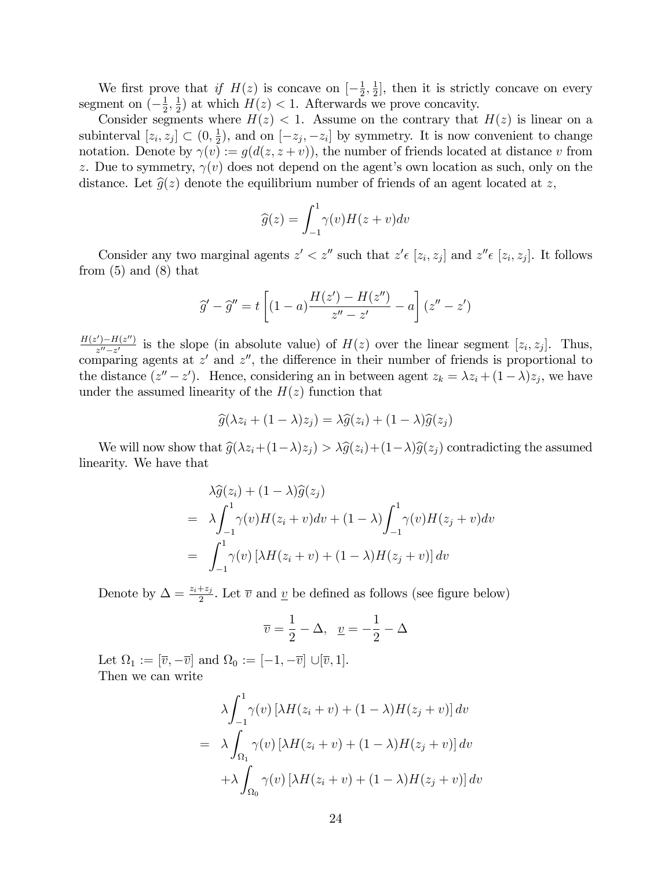We first prove that if  $H(z)$  is concave on  $\left[-\frac{1}{2}\right]$  $\frac{1}{2}, \frac{1}{2}$  $\frac{1}{2}$ , then it is strictly concave on every segment on  $\left(-\frac{1}{2}\right)$  $\frac{1}{2}, \frac{1}{2}$  $\frac{1}{2}$  at which  $H(z) < 1$ . Afterwards we prove concavity.

Consider segments where  $H(z) < 1$ . Assume on the contrary that  $H(z)$  is linear on a subinterval  $[z_i, z_j] \subset (0, \frac{1}{2})$  $(\frac{1}{2})$ , and on  $[-z_j, -z_i]$  by symmetry. It is now convenient to change notation. Denote by  $\gamma(v) := g(d(z, z + v))$ , the number of friends located at distance v from z. Due to symmetry,  $\gamma(v)$  does not depend on the agent's own location as such, only on the distance. Let  $\hat{g}(z)$  denote the equilibrium number of friends of an agent located at z,

$$
\widehat{g}(z) = \int_{-1}^{1} \gamma(v) H(z+v) dv
$$

Consider any two marginal agents  $z' < z''$  such that  $z' \in [z_i, z_j]$  and  $z'' \in [z_i, z_j]$ . It follows from  $(5)$  and  $(8)$  that

$$
\widehat{g}' - \widehat{g}'' = t \left[ (1 - a) \frac{H(z') - H(z'')}{z'' - z'} - a \right] (z'' - z')
$$

 $\frac{H(z') - H(z'')}{F(z'')}$  $\frac{z^{n}-H(z^{n})}{z^{n}-z^{n}}$  is the slope (in absolute value) of  $H(z)$  over the linear segment  $[z_{i}, z_{j}]$ . Thus, comparing agents at  $z'$  and  $z''$ , the difference in their number of friends is proportional to the distance  $(z'' - z')$ . Hence, considering an in between agent  $z_k = \lambda z_i + (1 - \lambda)z_j$ , we have under the assumed linearity of the  $H(z)$  function that

$$
\widehat{g}(\lambda z_i + (1 - \lambda)z_j) = \lambda \widehat{g}(z_i) + (1 - \lambda)\widehat{g}(z_j)
$$

We will now show that  $\widehat{g}(\lambda z_i+(1-\lambda)z_j) > \lambda \widehat{g}(z_i)+(1-\lambda)\widehat{g}(z_j)$  contradicting the assumed linearity. We have that

$$
\lambda \widehat{g}(z_i) + (1 - \lambda) \widehat{g}(z_j)
$$
  
= 
$$
\lambda \int_{-1}^{1} \gamma(v) H(z_i + v) dv + (1 - \lambda) \int_{-1}^{1} \gamma(v) H(z_j + v) dv
$$
  
= 
$$
\int_{-1}^{1} \gamma(v) [\lambda H(z_i + v) + (1 - \lambda) H(z_j + v)] dv
$$

Denote by  $\Delta = \frac{z_i + z_j}{2}$ . Let  $\overline{v}$  and  $\underline{v}$  be defined as follows (see figure below)

$$
\overline{v} = \frac{1}{2} - \Delta, \quad \underline{v} = -\frac{1}{2} - \Delta
$$

Let  $\Omega_1 := [\overline{v}, -\overline{v}]$  and  $\Omega_0 := [-1, -\overline{v}] \cup [\overline{v}, 1]$ . Then we can write

$$
\lambda \int_{-1}^{1} \gamma(v) \left[ \lambda H(z_i + v) + (1 - \lambda) H(z_j + v) \right] dv
$$
  
= 
$$
\lambda \int_{\Omega_1} \gamma(v) \left[ \lambda H(z_i + v) + (1 - \lambda) H(z_j + v) \right] dv
$$
  

$$
+ \lambda \int_{\Omega_0} \gamma(v) \left[ \lambda H(z_i + v) + (1 - \lambda) H(z_j + v) \right] dv
$$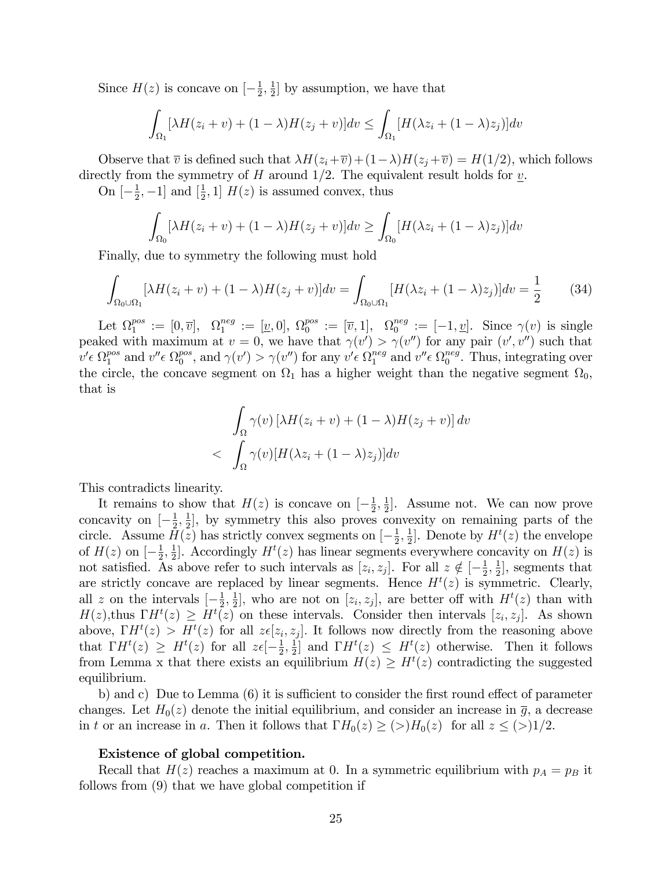Since  $H(z)$  is concave on  $\left[-\frac{1}{2}\right]$  $\frac{1}{2}, \frac{1}{2}$  $\frac{1}{2}$  by assumption, we have that

$$
\int_{\Omega_1} [\lambda H(z_i + v) + (1 - \lambda)H(z_j + v)] dv \le \int_{\Omega_1} [H(\lambda z_i + (1 - \lambda)z_j)] dv
$$

Observe that  $\overline{v}$  is defined such that  $\lambda H(z_i+\overline{v})+(1-\lambda)H(z_i+\overline{v}) = H(1/2)$ , which follows directly from the symmetry of H around  $1/2$ . The equivalent result holds for  $\underline{v}$ .

On  $\left[-\frac{1}{2}\right]$  $\frac{1}{2}, -1]$  and  $\left[\frac{1}{2}\right]$  $\frac{1}{2}$ , 1]  $H(z)$  is assumed convex, thus

$$
\int_{\Omega_0} [\lambda H(z_i + v) + (1 - \lambda)H(z_j + v)] dv \ge \int_{\Omega_0} [H(\lambda z_i + (1 - \lambda)z_j)] dv
$$

Finally, due to symmetry the following must hold

$$
\int_{\Omega_0 \cup \Omega_1} \left[ \lambda H(z_i + v) + (1 - \lambda) H(z_j + v) \right] dv = \int_{\Omega_0 \cup \Omega_1} \left[ H(\lambda z_i + (1 - \lambda) z_j) \right] dv = \frac{1}{2} \tag{34}
$$

Let  $\Omega_1^{pos}$  $\Omega_1^{pos} := [0, \overline{v}], \ \ \Omega_1^{neg}$  $\mathbf{f}_1^{neg} := [\underline{v}, 0], \ \Omega_0^{pos}$  $\mathbf{v}_0^{pos} := [\overline{v}, 1], \ \ \Omega_0^{neg}$  $\mathcal{O}_0^{neg} := [-1, \underline{v}]$ . Since  $\gamma(v)$  is single peaked with maximum at  $v = 0$ , we have that  $\gamma(v') > \gamma(v'')$  for any pair  $(v', v'')$  such that  $v' \epsilon \Omega_1^{pos}$  and  $v'' \epsilon \Omega_0^{pos}$  $_{0}^{pos}$ , and  $\gamma(v') > \gamma(v'')$  for any  $v' \epsilon \Omega_1^{neg}$  and  $v'' \epsilon \Omega_0^{neg}$  $_{0}^{neg}$ . Thus, integrating over the circle, the concave segment on  $\Omega_1$  has a higher weight than the negative segment  $\Omega_0$ , that is

$$
\int_{\Omega} \gamma(v) \left[ \lambda H(z_i + v) + (1 - \lambda) H(z_j + v) \right] dv
$$
  
< 
$$
\int_{\Omega} \gamma(v) \left[ H(\lambda z_i + (1 - \lambda) z_j) \right] dv
$$

This contradicts linearity.

It remains to show that  $H(z)$  is concave on  $\left[-\frac{1}{2}\right]$  $\frac{1}{2}, \frac{1}{2}$  $\frac{1}{2}$ . Assume not. We can now prove concavity on  $\left[-\frac{1}{2}\right]$  $\frac{1}{2}, \frac{1}{2}$  $\frac{1}{2}$ , by symmetry this also proves convexity on remaining parts of the circle. Assume  $\bar{H}(z)$  has strictly convex segments on  $\left[-\frac{1}{2}\right]$  $\frac{1}{2}, \frac{1}{2}$  $\frac{1}{2}$ . Denote by  $H^t(z)$  the envelope of  $H(z)$  on  $\left[-\frac{1}{2}\right]$  $\frac{1}{2}, \frac{1}{2}$  $\frac{1}{2}$ . Accordingly  $H^t(z)$  has linear segments everywhere concavity on  $H(z)$  is not satisfied. As above refer to such intervals as  $[z_i, z_j]$ . For all  $z \notin \left[-\frac{1}{2}\right]$  $\frac{1}{2}, \frac{1}{2}$  $\frac{1}{2}$ , segments that are strictly concave are replaced by linear segments. Hence  $H^t(z)$  is symmetric. Clearly, all z on the intervals  $\left[-\frac{1}{2}\right]$  $\frac{1}{2},\frac{1}{2}$  $\frac{1}{2}$ , who are not on  $[z_i, z_j]$ , are better off with  $H^t(z)$  than with  $H(z)$ , thus  $\Gamma H^t(z) \geq H^t(z)$  on these intervals. Consider then intervals  $[z_i, z_j]$ . As shown above,  $\Gamma H^{t}(z) > H^{t}(z)$  for all  $z \in [z_i, z_j]$ . It follows now directly from the reasoning above that  $\Gamma H^t(z) \geq H^t(z)$  for all  $z \in [-\frac{1}{2}]$  $\frac{1}{2}, \frac{1}{2}$  $\frac{1}{2}$  and  $\Gamma H^{t}(z) \leq H^{t}(z)$  otherwise. Then it follows from Lemma x that there exists an equilibrium  $H(z) \geq H^t(z)$  contradicting the suggested equilibrium.

b) and c) Due to Lemma  $(6)$  it is sufficient to consider the first round effect of parameter changes. Let  $H_0(z)$  denote the initial equilibrium, and consider an increase in  $\overline{g}$ , a decrease in t or an increase in a. Then it follows that  $\Gamma H_0(z) \ge (>)H_0(z)$  for all  $z \le (>)1/2$ .

#### Existence of global competition.

Recall that  $H(z)$  reaches a maximum at 0. In a symmetric equilibrium with  $p_A = p_B$  it follows from (9) that we have global competition if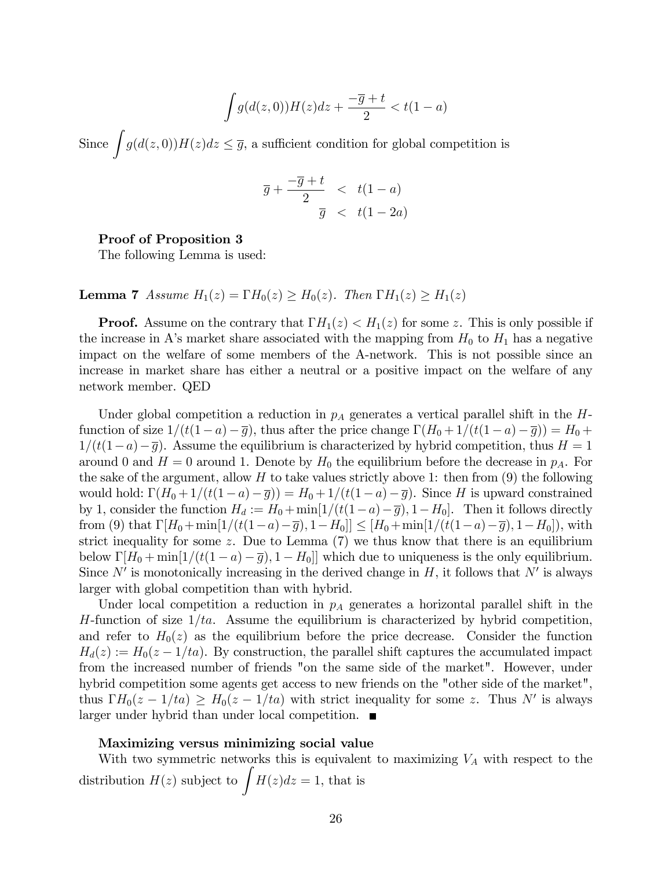$$
\int g(d(z,0))H(z)dz + \frac{-\overline{g}+t}{2} < t(1-a)
$$

Since  $\int g(d(z, 0))H(z)dz \leq \overline{g}$ , a sufficient condition for global competition is

$$
\overline{g} + \frac{-\overline{g} + t}{2} < t(1 - a)
$$
\n
$$
\overline{g} < t(1 - 2a)
$$

Proof of Proposition 3

The following Lemma is used:

#### **Lemma 7** Assume  $H_1(z) = \Gamma H_0(z) \geq H_0(z)$ . Then  $\Gamma H_1(z) \geq H_1(z)$

**Proof.** Assume on the contrary that  $\Gamma H_1(z) < H_1(z)$  for some z. This is only possible if the increase in A's market share associated with the mapping from  $H_0$  to  $H_1$  has a negative impact on the welfare of some members of the A-network. This is not possible since an increase in market share has either a neutral or a positive impact on the welfare of any network member. QED

Under global competition a reduction in  $p_A$  generates a vertical parallel shift in the  $H$ function of size  $1/(t(1 - a) - \overline{g})$ , thus after the price change  $\Gamma(H_0 + 1/(t(1 - a) - \overline{g})) = H_0 +$  $1/(t(1-a)-\overline{g})$ . Assume the equilibrium is characterized by hybrid competition, thus  $H = 1$ around 0 and  $H = 0$  around 1. Denote by  $H_0$  the equilibrium before the decrease in  $p_A$ . For the sake of the argument, allow H to take values strictly above 1: then from  $(9)$  the following would hold:  $\Gamma(H_0 + 1/(t(1-a)-\overline{g})) = H_0 + 1/(t(1-a)-\overline{g})$ . Since H is upward constrained by 1, consider the function  $H_d := H_0 + \min[1/(t(1-a)-\overline{g}), 1-H_0]$ . Then it follows directly from (9) that  $\Gamma[H_0+\min[1/(t(1-a)-\overline{g}), 1-H_0]] \leq [H_0+\min[1/(t(1-a)-\overline{g}), 1-H_0])$ , with strict inequality for some  $z$ . Due to Lemma  $(7)$  we thus know that there is an equilibrium below  $\Gamma[H_0 + \min[1/(t(1 - a) - \overline{g}), 1 - H_0]]$  which due to uniqueness is the only equilibrium. Since N' is monotonically increasing in the derived change in  $H$ , it follows that N' is always larger with global competition than with hybrid.

Under local competition a reduction in  $p_A$  generates a horizontal parallel shift in the H-function of size  $1/ta$ . Assume the equilibrium is characterized by hybrid competition, and refer to  $H_0(z)$  as the equilibrium before the price decrease. Consider the function  $H_d(z) := H_0(z-1/ta)$ . By construction, the parallel shift captures the accumulated impact from the increased number of friends "on the same side of the market". However, under hybrid competition some agents get access to new friends on the "other side of the market", thus  $\Gamma H_0(z-1/ta) \geq H_0(z-1/ta)$  with strict inequality for some z. Thus N' is always larger under hybrid than under local competition.

#### Maximizing versus minimizing social value

With two symmetric networks this is equivalent to maximizing  $V_A$  with respect to the distribution  $H(z)$  subject to  $\int H(z)dz = 1$ , that is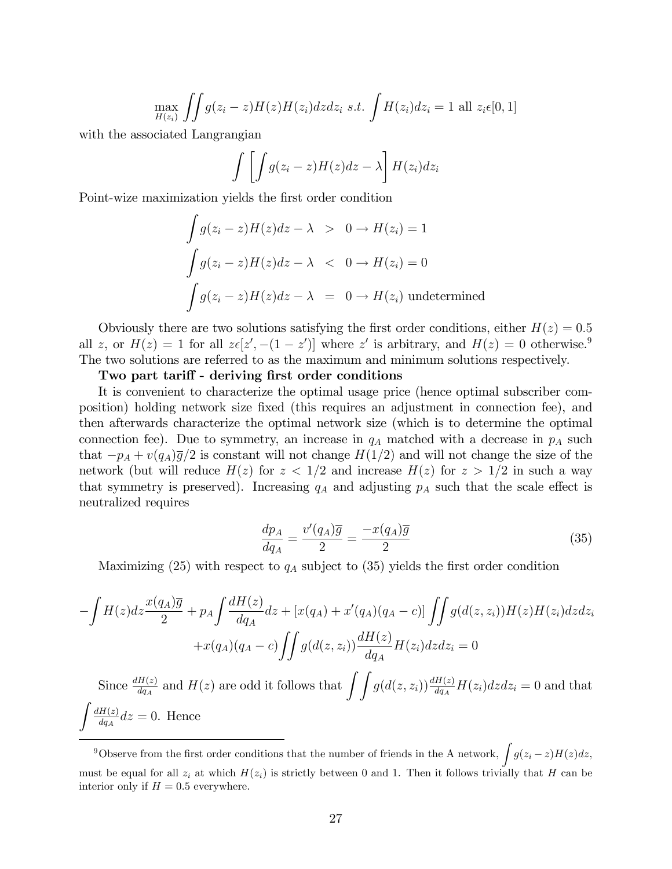$$
\max_{H(z_i)} \iint g(z_i - z)H(z)H(z_i)dz dz_i \text{ s.t. } \int H(z_i)dz_i = 1 \text{ all } z_i \in [0, 1]
$$

with the associated Langrangian

$$
\int \left[ \int g(z_i - z) H(z) dz - \lambda \right] H(z_i) dz_i
$$

Point-wize maximization yields the first order condition

$$
\int g(z_i - z)H(z)dz - \lambda > 0 \to H(z_i) = 1
$$

$$
\int g(z_i - z)H(z)dz - \lambda < 0 \to H(z_i) = 0
$$

$$
\int g(z_i - z)H(z)dz - \lambda = 0 \to H(z_i) \text{ undetermined}
$$

Obviously there are two solutions satisfying the first order conditions, either  $H(z) = 0.5$ all z, or  $H(z) = 1$  for all  $z \in [z', -(1-z')]$  where z' is arbitrary, and  $H(z) = 0$  otherwise.<sup>9</sup> The two solutions are referred to as the maximum and minimum solutions respectively.

#### Two part tariff - deriving first order conditions

It is convenient to characterize the optimal usage price (hence optimal subscriber composition) holding network size fixed (this requires an adjustment in connection fee), and then afterwards characterize the optimal network size (which is to determine the optimal connection fee). Due to symmetry, an increase in  $q_A$  matched with a decrease in  $p_A$  such that  $-p_A + v(q_A)\overline{g}/2$  is constant will not change  $H(1/2)$  and will not change the size of the network (but will reduce  $H(z)$  for  $z < 1/2$  and increase  $H(z)$  for  $z > 1/2$  in such a way that symmetry is preserved). Increasing  $q_A$  and adjusting  $p_A$  such that the scale effect is neutralized requires

$$
\frac{dp_A}{dq_A} = \frac{v'(q_A)\overline{g}}{2} = \frac{-x(q_A)\overline{g}}{2}
$$
\n(35)

Maximizing (25) with respect to  $q_A$  subject to (35) yields the first order condition

$$
-\int H(z)dz \frac{x(q_A)\overline{g}}{2} + p_A \int \frac{dH(z)}{dq_A} dz + [x(q_A) + x'(q_A)(q_A - c)] \int \int g(d(z, z_i))H(z)H(z_i)dz dz_i
$$

$$
+ x(q_A)(q_A - c) \int \int g(d(z, z_i)) \frac{dH(z)}{dq_A} H(z_i)dz dz_i = 0
$$
Since  $\frac{dH(z)}{dq_A}$  and  $H(z)$  are odd it follows that  $\int \int g(d(z, z_i)) \frac{dH(z)}{dq_A} H(z_i)dz dz_i = 0$  and that  $\int \frac{dH(z)}{dq_A} dz = 0$ . Hence

<sup>&</sup>lt;sup>9</sup>Observe from the first order conditions that the number of friends in the A network,  $\int g(z_i - z)H(z)dz$ , must be equal for all  $z_i$  at which  $H(z_i)$  is strictly between 0 and 1. Then it follows trivially that H can be interior only if  $H = 0.5$  everywhere.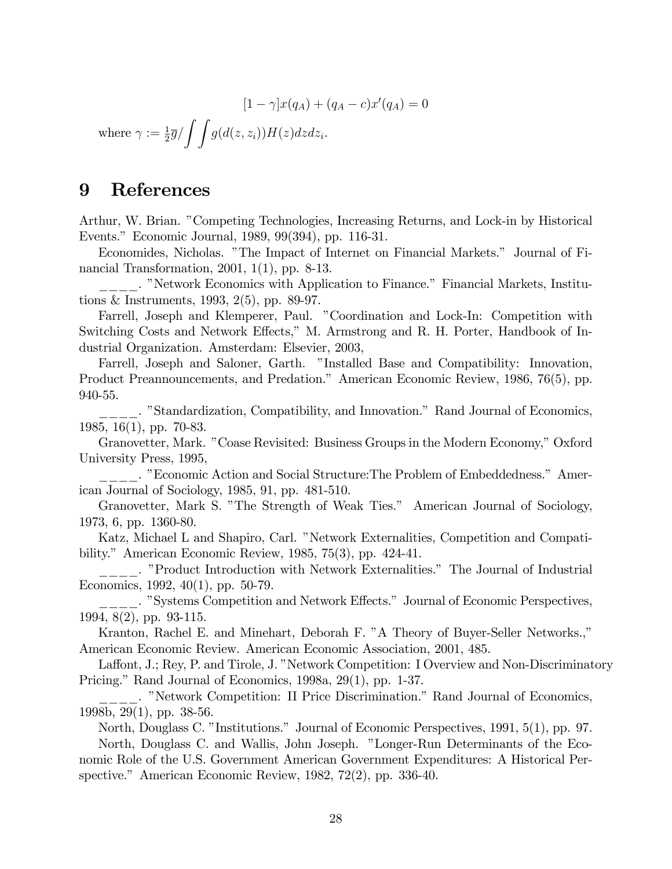$$
[1 - \gamma]x(q_A) + (q_A - c)x'(q_A) = 0
$$
  
where  $\gamma := \frac{1}{2}\overline{g}/\int \int g(d(z, z_i))H(z)dzdz_i.$ 

# 9 References

Arthur, W. Brian. "Competing Technologies, Increasing Returns, and Lock-in by Historical Events.î Economic Journal, 1989, 99(394), pp. 116-31.

Economides, Nicholas. "The Impact of Internet on Financial Markets." Journal of Financial Transformation, 2001, 1(1), pp. 8-13.

<sub>\_\_\_\_</sub>. "Network Economics with Application to Finance." Financial Markets, Institutions & Instruments, 1993, 2(5), pp. 89-97.

Farrell, Joseph and Klemperer, Paul. "Coordination and Lock-In: Competition with Switching Costs and Network Effects," M. Armstrong and R. H. Porter, Handbook of Industrial Organization. Amsterdam: Elsevier, 2003,

Farrell, Joseph and Saloner, Garth. "Installed Base and Compatibility: Innovation. Product Preannouncements, and Predation." American Economic Review, 1986, 76(5), pp. 940-55.

<sub>\_\_</sub>. "Standardization, Compatibility, and Innovation." Rand Journal of Economics, 1985, 16(1), pp. 70-83.

Granovetter, Mark. "Coase Revisited: Business Groups in the Modern Economy," Oxford University Press, 1995,

<sub>\_\_\_\_</sub>. "Economic Action and Social Structure:The Problem of Embeddedness." American Journal of Sociology, 1985, 91, pp. 481-510.

Granovetter, Mark S. "The Strength of Weak Ties." American Journal of Sociology, 1973, 6, pp. 1360-80.

Katz, Michael L and Shapiro, Carl. "Network Externalities, Competition and Compatibility." American Economic Review, 1985, 75(3), pp. 424-41.

<sub>\_\_\_\_\_</sub>. "Product Introduction with Network Externalities." The Journal of Industrial Economics, 1992, 40(1), pp. 50-79.

<sub>\_\_\_\_\_</sub>. "Systems Competition and Network Effects." Journal of Economic Perspectives, 1994, 8(2), pp. 93-115.

Kranton, Rachel E. and Minehart, Deborah F. "A Theory of Buyer-Seller Networks.," American Economic Review. American Economic Association, 2001, 485.

Laffont, J.; Rey, P. and Tirole, J. "Network Competition: I Overview and Non-Discriminatory Pricing." Rand Journal of Economics, 1998a,  $29(1)$ , pp. 1-37.

<sub>\_\_\_\_</sub>. "Network Competition: II Price Discrimination." Rand Journal of Economics, 1998b, 29(1), pp. 38-56.

North, Douglass C. "Institutions." Journal of Economic Perspectives, 1991, 5(1), pp. 97.

North, Douglass C. and Wallis, John Joseph. "Longer-Run Determinants of the Economic Role of the U.S. Government American Government Expenditures: A Historical Perspective." American Economic Review,  $1982, 72(2)$ , pp. 336-40.